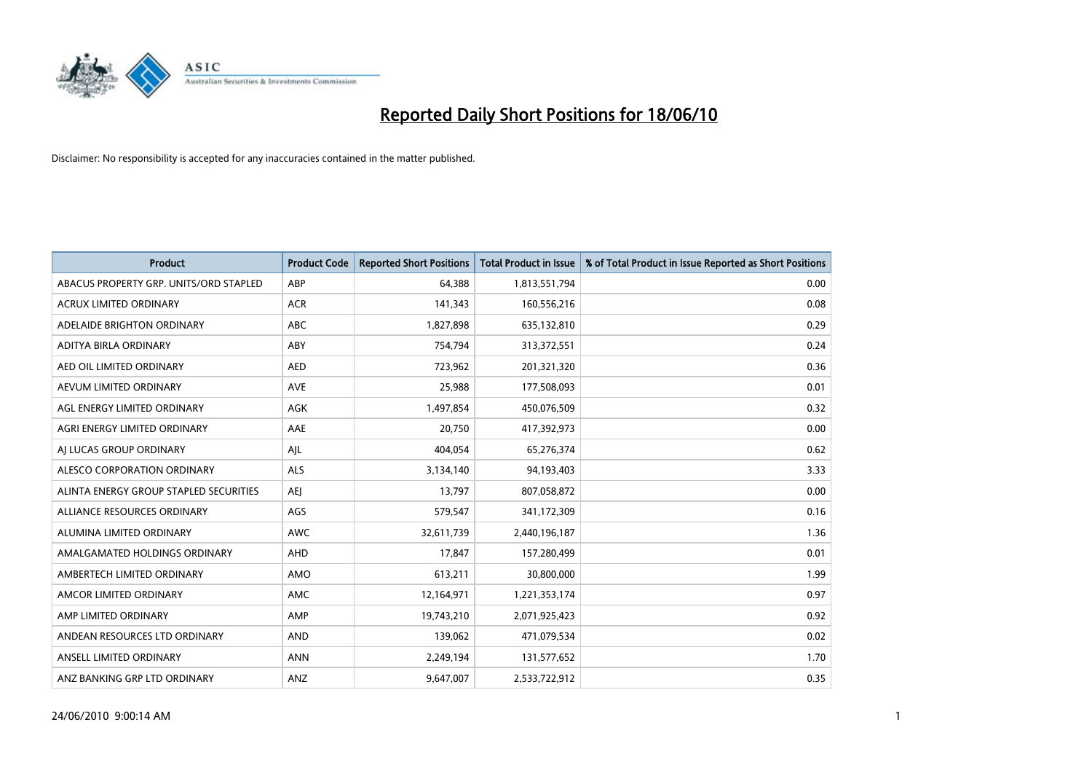

| <b>Product</b>                         | <b>Product Code</b> | <b>Reported Short Positions</b> | Total Product in Issue | % of Total Product in Issue Reported as Short Positions |
|----------------------------------------|---------------------|---------------------------------|------------------------|---------------------------------------------------------|
| ABACUS PROPERTY GRP. UNITS/ORD STAPLED | ABP                 | 64,388                          | 1,813,551,794          | 0.00                                                    |
| <b>ACRUX LIMITED ORDINARY</b>          | <b>ACR</b>          | 141,343                         | 160,556,216            | 0.08                                                    |
| ADELAIDE BRIGHTON ORDINARY             | <b>ABC</b>          | 1,827,898                       | 635,132,810            | 0.29                                                    |
| ADITYA BIRLA ORDINARY                  | ABY                 | 754,794                         | 313,372,551            | 0.24                                                    |
| AED OIL LIMITED ORDINARY               | <b>AED</b>          | 723.962                         | 201,321,320            | 0.36                                                    |
| AEVUM LIMITED ORDINARY                 | <b>AVE</b>          | 25,988                          | 177,508,093            | 0.01                                                    |
| AGL ENERGY LIMITED ORDINARY            | <b>AGK</b>          | 1,497,854                       | 450,076,509            | 0.32                                                    |
| AGRI ENERGY LIMITED ORDINARY           | AAE                 | 20,750                          | 417,392,973            | 0.00                                                    |
| AI LUCAS GROUP ORDINARY                | AJL                 | 404,054                         | 65,276,374             | 0.62                                                    |
| ALESCO CORPORATION ORDINARY            | <b>ALS</b>          | 3,134,140                       | 94,193,403             | 3.33                                                    |
| ALINTA ENERGY GROUP STAPLED SECURITIES | <b>AEJ</b>          | 13,797                          | 807,058,872            | 0.00                                                    |
| ALLIANCE RESOURCES ORDINARY            | AGS                 | 579,547                         | 341,172,309            | 0.16                                                    |
| ALUMINA LIMITED ORDINARY               | <b>AWC</b>          | 32,611,739                      | 2,440,196,187          | 1.36                                                    |
| AMALGAMATED HOLDINGS ORDINARY          | AHD                 | 17.847                          | 157,280,499            | 0.01                                                    |
| AMBERTECH LIMITED ORDINARY             | AMO                 | 613,211                         | 30,800,000             | 1.99                                                    |
| AMCOR LIMITED ORDINARY                 | <b>AMC</b>          | 12,164,971                      | 1,221,353,174          | 0.97                                                    |
| AMP LIMITED ORDINARY                   | AMP                 | 19,743,210                      | 2,071,925,423          | 0.92                                                    |
| ANDEAN RESOURCES LTD ORDINARY          | <b>AND</b>          | 139,062                         | 471,079,534            | 0.02                                                    |
| ANSELL LIMITED ORDINARY                | <b>ANN</b>          | 2,249,194                       | 131,577,652            | 1.70                                                    |
| ANZ BANKING GRP LTD ORDINARY           | ANZ                 | 9.647.007                       | 2,533,722,912          | 0.35                                                    |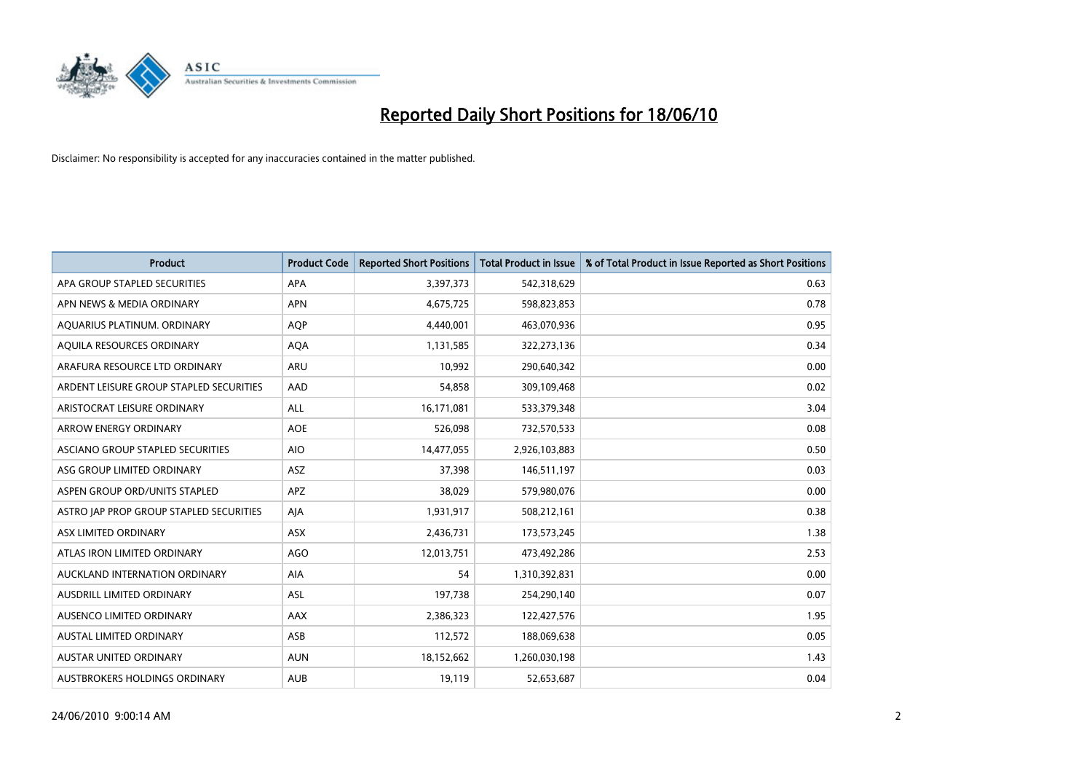

| <b>Product</b>                          | <b>Product Code</b> | <b>Reported Short Positions</b> | <b>Total Product in Issue</b> | % of Total Product in Issue Reported as Short Positions |
|-----------------------------------------|---------------------|---------------------------------|-------------------------------|---------------------------------------------------------|
| APA GROUP STAPLED SECURITIES            | <b>APA</b>          | 3,397,373                       | 542,318,629                   | 0.63                                                    |
| APN NEWS & MEDIA ORDINARY               | <b>APN</b>          | 4,675,725                       | 598,823,853                   | 0.78                                                    |
| AQUARIUS PLATINUM. ORDINARY             | <b>AOP</b>          | 4,440,001                       | 463,070,936                   | 0.95                                                    |
| AQUILA RESOURCES ORDINARY               | <b>AQA</b>          | 1,131,585                       | 322,273,136                   | 0.34                                                    |
| ARAFURA RESOURCE LTD ORDINARY           | ARU                 | 10,992                          | 290,640,342                   | 0.00                                                    |
| ARDENT LEISURE GROUP STAPLED SECURITIES | AAD                 | 54,858                          | 309,109,468                   | 0.02                                                    |
| ARISTOCRAT LEISURE ORDINARY             | ALL                 | 16,171,081                      | 533,379,348                   | 3.04                                                    |
| ARROW ENERGY ORDINARY                   | <b>AOE</b>          | 526,098                         | 732,570,533                   | 0.08                                                    |
| ASCIANO GROUP STAPLED SECURITIES        | <b>AIO</b>          | 14,477,055                      | 2,926,103,883                 | 0.50                                                    |
| ASG GROUP LIMITED ORDINARY              | <b>ASZ</b>          | 37,398                          | 146,511,197                   | 0.03                                                    |
| ASPEN GROUP ORD/UNITS STAPLED           | <b>APZ</b>          | 38,029                          | 579,980,076                   | 0.00                                                    |
| ASTRO JAP PROP GROUP STAPLED SECURITIES | AJA                 | 1,931,917                       | 508,212,161                   | 0.38                                                    |
| ASX LIMITED ORDINARY                    | <b>ASX</b>          | 2,436,731                       | 173,573,245                   | 1.38                                                    |
| ATLAS IRON LIMITED ORDINARY             | <b>AGO</b>          | 12,013,751                      | 473,492,286                   | 2.53                                                    |
| AUCKLAND INTERNATION ORDINARY           | <b>AIA</b>          | 54                              | 1,310,392,831                 | 0.00                                                    |
| AUSDRILL LIMITED ORDINARY               | <b>ASL</b>          | 197,738                         | 254,290,140                   | 0.07                                                    |
| AUSENCO LIMITED ORDINARY                | AAX                 | 2,386,323                       | 122,427,576                   | 1.95                                                    |
| AUSTAL LIMITED ORDINARY                 | ASB                 | 112,572                         | 188,069,638                   | 0.05                                                    |
| <b>AUSTAR UNITED ORDINARY</b>           | <b>AUN</b>          | 18,152,662                      | 1,260,030,198                 | 1.43                                                    |
| AUSTBROKERS HOLDINGS ORDINARY           | <b>AUB</b>          | 19,119                          | 52,653,687                    | 0.04                                                    |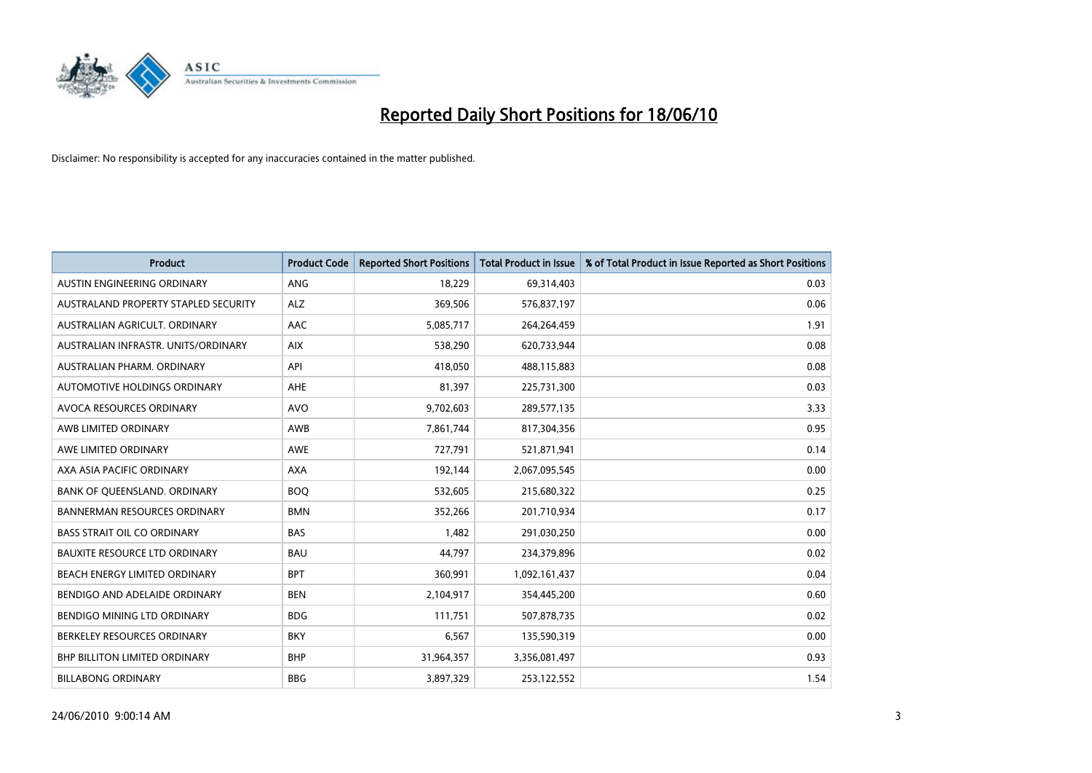

| <b>Product</b>                       | <b>Product Code</b> | <b>Reported Short Positions</b> | <b>Total Product in Issue</b> | % of Total Product in Issue Reported as Short Positions |
|--------------------------------------|---------------------|---------------------------------|-------------------------------|---------------------------------------------------------|
| AUSTIN ENGINEERING ORDINARY          | ANG                 | 18,229                          | 69,314,403                    | 0.03                                                    |
| AUSTRALAND PROPERTY STAPLED SECURITY | <b>ALZ</b>          | 369,506                         | 576,837,197                   | 0.06                                                    |
| AUSTRALIAN AGRICULT, ORDINARY        | AAC                 | 5,085,717                       | 264,264,459                   | 1.91                                                    |
| AUSTRALIAN INFRASTR, UNITS/ORDINARY  | <b>AIX</b>          | 538,290                         | 620,733,944                   | 0.08                                                    |
| AUSTRALIAN PHARM, ORDINARY           | API                 | 418,050                         | 488,115,883                   | 0.08                                                    |
| AUTOMOTIVE HOLDINGS ORDINARY         | AHE                 | 81,397                          | 225,731,300                   | 0.03                                                    |
| AVOCA RESOURCES ORDINARY             | <b>AVO</b>          | 9,702,603                       | 289,577,135                   | 3.33                                                    |
| AWB LIMITED ORDINARY                 | AWB                 | 7,861,744                       | 817,304,356                   | 0.95                                                    |
| AWE LIMITED ORDINARY                 | <b>AWE</b>          | 727,791                         | 521,871,941                   | 0.14                                                    |
| AXA ASIA PACIFIC ORDINARY            | <b>AXA</b>          | 192,144                         | 2,067,095,545                 | 0.00                                                    |
| BANK OF QUEENSLAND. ORDINARY         | <b>BOO</b>          | 532,605                         | 215,680,322                   | 0.25                                                    |
| <b>BANNERMAN RESOURCES ORDINARY</b>  | <b>BMN</b>          | 352,266                         | 201,710,934                   | 0.17                                                    |
| <b>BASS STRAIT OIL CO ORDINARY</b>   | <b>BAS</b>          | 1,482                           | 291,030,250                   | 0.00                                                    |
| BAUXITE RESOURCE LTD ORDINARY        | <b>BAU</b>          | 44,797                          | 234,379,896                   | 0.02                                                    |
| BEACH ENERGY LIMITED ORDINARY        | <b>BPT</b>          | 360,991                         | 1,092,161,437                 | 0.04                                                    |
| BENDIGO AND ADELAIDE ORDINARY        | <b>BEN</b>          | 2,104,917                       | 354,445,200                   | 0.60                                                    |
| BENDIGO MINING LTD ORDINARY          | <b>BDG</b>          | 111,751                         | 507,878,735                   | 0.02                                                    |
| BERKELEY RESOURCES ORDINARY          | <b>BKY</b>          | 6,567                           | 135,590,319                   | 0.00                                                    |
| <b>BHP BILLITON LIMITED ORDINARY</b> | <b>BHP</b>          | 31,964,357                      | 3,356,081,497                 | 0.93                                                    |
| <b>BILLABONG ORDINARY</b>            | <b>BBG</b>          | 3,897,329                       | 253,122,552                   | 1.54                                                    |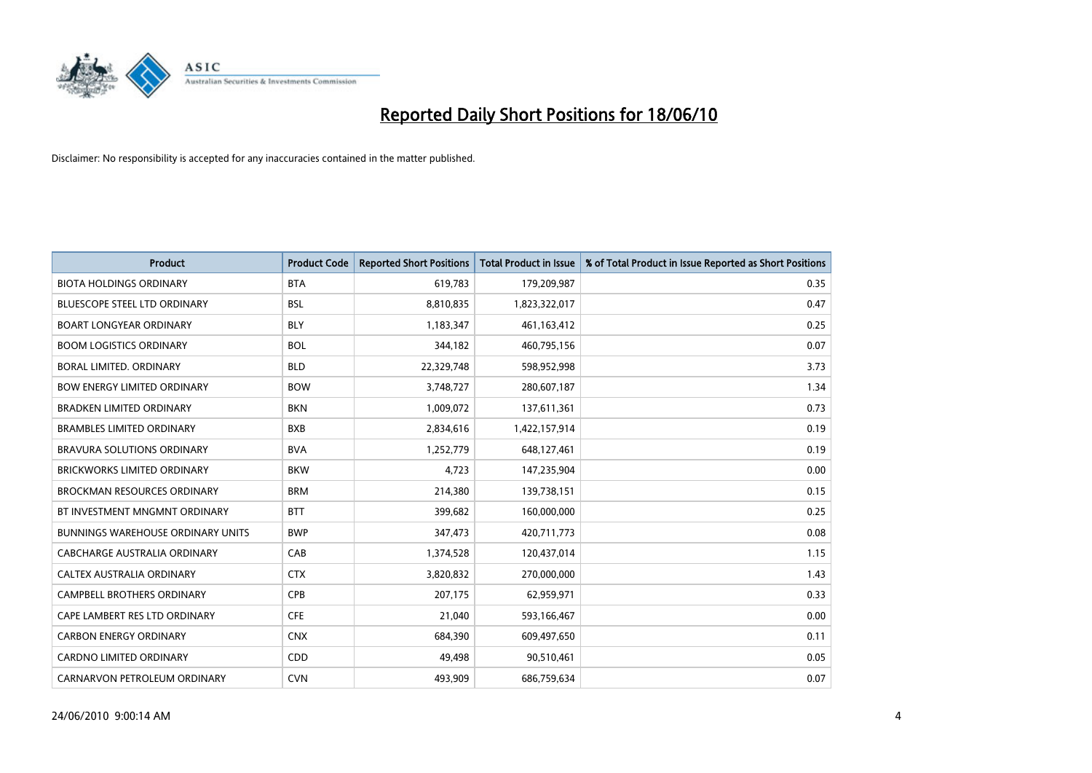

| <b>Product</b>                           | <b>Product Code</b> | <b>Reported Short Positions</b> | <b>Total Product in Issue</b> | % of Total Product in Issue Reported as Short Positions |
|------------------------------------------|---------------------|---------------------------------|-------------------------------|---------------------------------------------------------|
| <b>BIOTA HOLDINGS ORDINARY</b>           | <b>BTA</b>          | 619,783                         | 179,209,987                   | 0.35                                                    |
| <b>BLUESCOPE STEEL LTD ORDINARY</b>      | <b>BSL</b>          | 8,810,835                       | 1,823,322,017                 | 0.47                                                    |
| <b>BOART LONGYEAR ORDINARY</b>           | <b>BLY</b>          | 1,183,347                       | 461, 163, 412                 | 0.25                                                    |
| <b>BOOM LOGISTICS ORDINARY</b>           | <b>BOL</b>          | 344,182                         | 460,795,156                   | 0.07                                                    |
| BORAL LIMITED, ORDINARY                  | <b>BLD</b>          | 22,329,748                      | 598,952,998                   | 3.73                                                    |
| <b>BOW ENERGY LIMITED ORDINARY</b>       | <b>BOW</b>          | 3,748,727                       | 280,607,187                   | 1.34                                                    |
| <b>BRADKEN LIMITED ORDINARY</b>          | <b>BKN</b>          | 1,009,072                       | 137,611,361                   | 0.73                                                    |
| <b>BRAMBLES LIMITED ORDINARY</b>         | <b>BXB</b>          | 2,834,616                       | 1,422,157,914                 | 0.19                                                    |
| BRAVURA SOLUTIONS ORDINARY               | <b>BVA</b>          | 1,252,779                       | 648,127,461                   | 0.19                                                    |
| <b>BRICKWORKS LIMITED ORDINARY</b>       | <b>BKW</b>          | 4,723                           | 147,235,904                   | 0.00                                                    |
| <b>BROCKMAN RESOURCES ORDINARY</b>       | <b>BRM</b>          | 214,380                         | 139,738,151                   | 0.15                                                    |
| BT INVESTMENT MNGMNT ORDINARY            | <b>BTT</b>          | 399,682                         | 160,000,000                   | 0.25                                                    |
| <b>BUNNINGS WAREHOUSE ORDINARY UNITS</b> | <b>BWP</b>          | 347,473                         | 420,711,773                   | 0.08                                                    |
| <b>CABCHARGE AUSTRALIA ORDINARY</b>      | CAB                 | 1,374,528                       | 120,437,014                   | 1.15                                                    |
| CALTEX AUSTRALIA ORDINARY                | <b>CTX</b>          | 3,820,832                       | 270,000,000                   | 1.43                                                    |
| CAMPBELL BROTHERS ORDINARY               | <b>CPB</b>          | 207,175                         | 62,959,971                    | 0.33                                                    |
| CAPE LAMBERT RES LTD ORDINARY            | <b>CFE</b>          | 21,040                          | 593,166,467                   | 0.00                                                    |
| <b>CARBON ENERGY ORDINARY</b>            | <b>CNX</b>          | 684,390                         | 609,497,650                   | 0.11                                                    |
| <b>CARDNO LIMITED ORDINARY</b>           | CDD                 | 49,498                          | 90,510,461                    | 0.05                                                    |
| CARNARVON PETROLEUM ORDINARY             | <b>CVN</b>          | 493,909                         | 686,759,634                   | 0.07                                                    |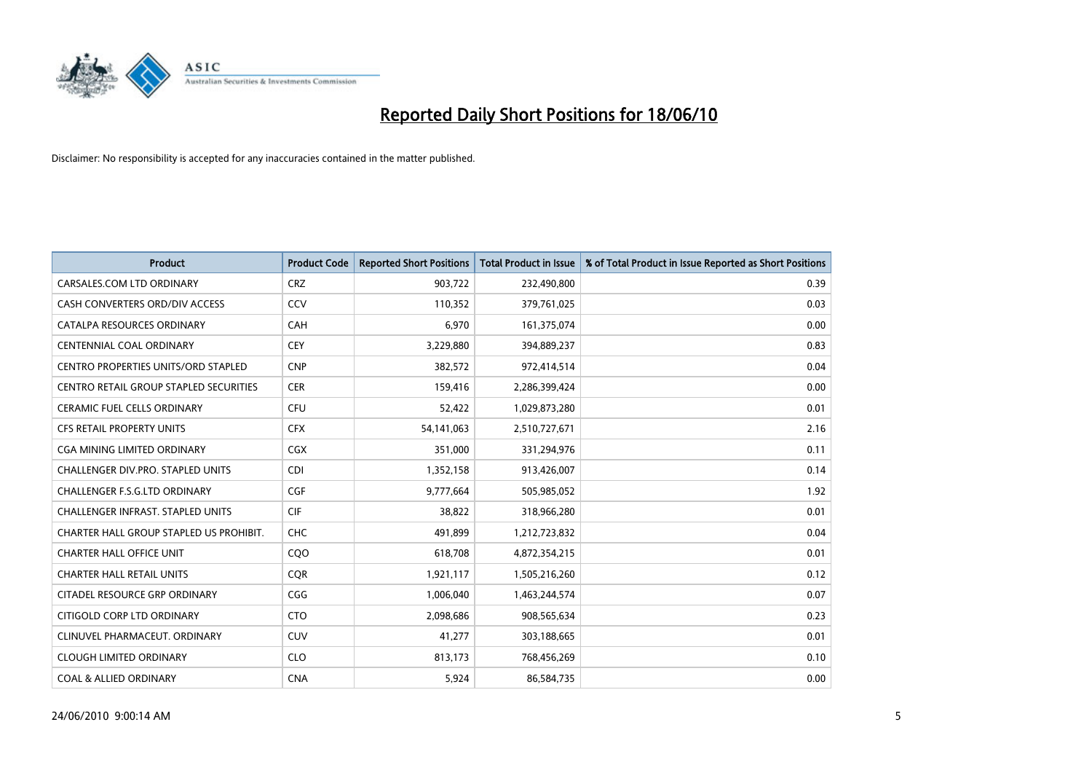

| <b>Product</b>                                | <b>Product Code</b> | <b>Reported Short Positions</b> | Total Product in Issue | % of Total Product in Issue Reported as Short Positions |
|-----------------------------------------------|---------------------|---------------------------------|------------------------|---------------------------------------------------------|
| CARSALES.COM LTD ORDINARY                     | <b>CRZ</b>          | 903,722                         | 232,490,800            | 0.39                                                    |
| CASH CONVERTERS ORD/DIV ACCESS                | CCV                 | 110,352                         | 379,761,025            | 0.03                                                    |
| CATALPA RESOURCES ORDINARY                    | CAH                 | 6,970                           | 161,375,074            | 0.00                                                    |
| CENTENNIAL COAL ORDINARY                      | <b>CEY</b>          | 3,229,880                       | 394,889,237            | 0.83                                                    |
| CENTRO PROPERTIES UNITS/ORD STAPLED           | <b>CNP</b>          | 382,572                         | 972,414,514            | 0.04                                                    |
| <b>CENTRO RETAIL GROUP STAPLED SECURITIES</b> | <b>CER</b>          | 159,416                         | 2,286,399,424          | 0.00                                                    |
| <b>CERAMIC FUEL CELLS ORDINARY</b>            | <b>CFU</b>          | 52,422                          | 1,029,873,280          | 0.01                                                    |
| <b>CFS RETAIL PROPERTY UNITS</b>              | <b>CFX</b>          | 54,141,063                      | 2,510,727,671          | 2.16                                                    |
| CGA MINING LIMITED ORDINARY                   | <b>CGX</b>          | 351,000                         | 331,294,976            | 0.11                                                    |
| CHALLENGER DIV.PRO. STAPLED UNITS             | <b>CDI</b>          | 1,352,158                       | 913,426,007            | 0.14                                                    |
| <b>CHALLENGER F.S.G.LTD ORDINARY</b>          | CGF                 | 9,777,664                       | 505,985,052            | 1.92                                                    |
| CHALLENGER INFRAST. STAPLED UNITS             | <b>CIF</b>          | 38,822                          | 318,966,280            | 0.01                                                    |
| CHARTER HALL GROUP STAPLED US PROHIBIT.       | <b>CHC</b>          | 491,899                         | 1,212,723,832          | 0.04                                                    |
| <b>CHARTER HALL OFFICE UNIT</b>               | COO                 | 618,708                         | 4,872,354,215          | 0.01                                                    |
| <b>CHARTER HALL RETAIL UNITS</b>              | <b>COR</b>          | 1,921,117                       | 1,505,216,260          | 0.12                                                    |
| CITADEL RESOURCE GRP ORDINARY                 | CGG                 | 1,006,040                       | 1,463,244,574          | 0.07                                                    |
| CITIGOLD CORP LTD ORDINARY                    | <b>CTO</b>          | 2,098,686                       | 908,565,634            | 0.23                                                    |
| CLINUVEL PHARMACEUT. ORDINARY                 | <b>CUV</b>          | 41,277                          | 303,188,665            | 0.01                                                    |
| <b>CLOUGH LIMITED ORDINARY</b>                | <b>CLO</b>          | 813,173                         | 768,456,269            | 0.10                                                    |
| <b>COAL &amp; ALLIED ORDINARY</b>             | <b>CNA</b>          | 5,924                           | 86,584,735             | 0.00                                                    |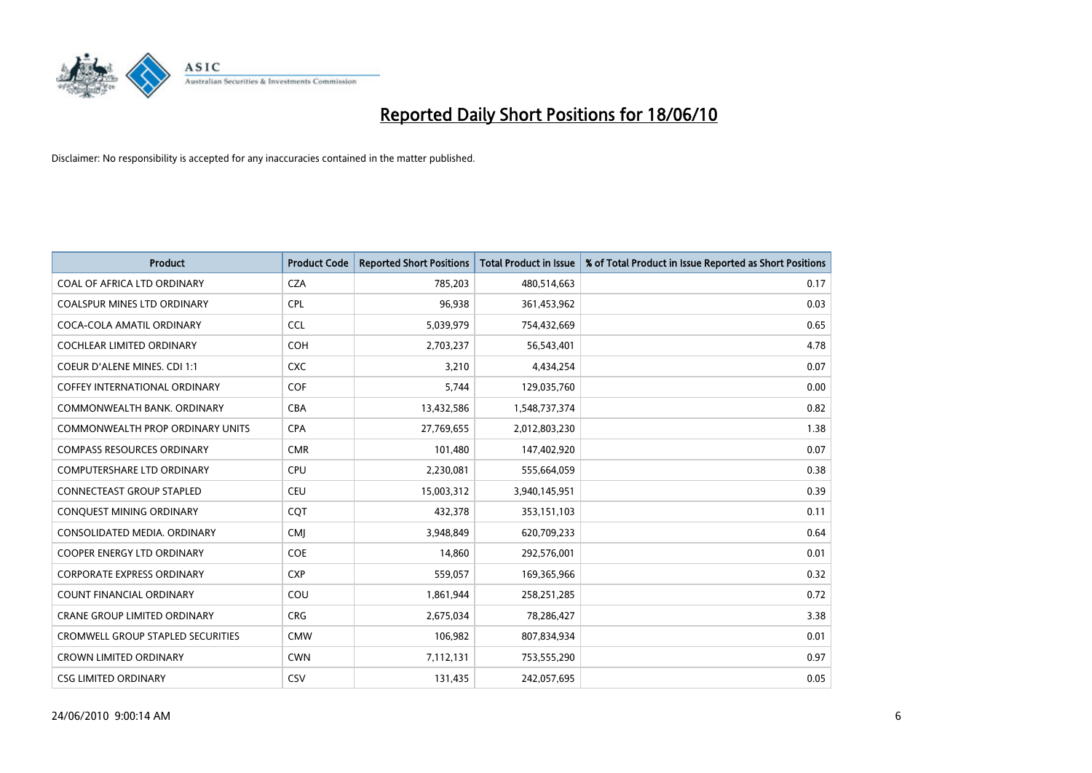

| <b>Product</b>                       | <b>Product Code</b> | <b>Reported Short Positions</b> | <b>Total Product in Issue</b> | % of Total Product in Issue Reported as Short Positions |
|--------------------------------------|---------------------|---------------------------------|-------------------------------|---------------------------------------------------------|
| COAL OF AFRICA LTD ORDINARY          | <b>CZA</b>          | 785,203                         | 480,514,663                   | 0.17                                                    |
| COALSPUR MINES LTD ORDINARY          | <b>CPL</b>          | 96,938                          | 361,453,962                   | 0.03                                                    |
| COCA-COLA AMATIL ORDINARY            | CCL                 | 5,039,979                       | 754,432,669                   | 0.65                                                    |
| COCHLEAR LIMITED ORDINARY            | <b>COH</b>          | 2,703,237                       | 56,543,401                    | 4.78                                                    |
| <b>COEUR D'ALENE MINES. CDI 1:1</b>  | <b>CXC</b>          | 3,210                           | 4,434,254                     | 0.07                                                    |
| <b>COFFEY INTERNATIONAL ORDINARY</b> | COF                 | 5,744                           | 129,035,760                   | 0.00                                                    |
| COMMONWEALTH BANK, ORDINARY          | CBA                 | 13,432,586                      | 1,548,737,374                 | 0.82                                                    |
| COMMONWEALTH PROP ORDINARY UNITS     | <b>CPA</b>          | 27,769,655                      | 2,012,803,230                 | 1.38                                                    |
| <b>COMPASS RESOURCES ORDINARY</b>    | <b>CMR</b>          | 101,480                         | 147,402,920                   | 0.07                                                    |
| <b>COMPUTERSHARE LTD ORDINARY</b>    | <b>CPU</b>          | 2,230,081                       | 555,664,059                   | 0.38                                                    |
| <b>CONNECTEAST GROUP STAPLED</b>     | CEU                 | 15,003,312                      | 3,940,145,951                 | 0.39                                                    |
| CONQUEST MINING ORDINARY             | CQT                 | 432,378                         | 353,151,103                   | 0.11                                                    |
| CONSOLIDATED MEDIA. ORDINARY         | <b>CMI</b>          | 3,948,849                       | 620,709,233                   | 0.64                                                    |
| COOPER ENERGY LTD ORDINARY           | <b>COE</b>          | 14,860                          | 292,576,001                   | 0.01                                                    |
| <b>CORPORATE EXPRESS ORDINARY</b>    | <b>CXP</b>          | 559,057                         | 169,365,966                   | 0.32                                                    |
| <b>COUNT FINANCIAL ORDINARY</b>      | COU                 | 1,861,944                       | 258,251,285                   | 0.72                                                    |
| CRANE GROUP LIMITED ORDINARY         | <b>CRG</b>          | 2,675,034                       | 78,286,427                    | 3.38                                                    |
| CROMWELL GROUP STAPLED SECURITIES    | <b>CMW</b>          | 106,982                         | 807,834,934                   | 0.01                                                    |
| <b>CROWN LIMITED ORDINARY</b>        | <b>CWN</b>          | 7,112,131                       | 753,555,290                   | 0.97                                                    |
| <b>CSG LIMITED ORDINARY</b>          | CSV                 | 131,435                         | 242,057,695                   | 0.05                                                    |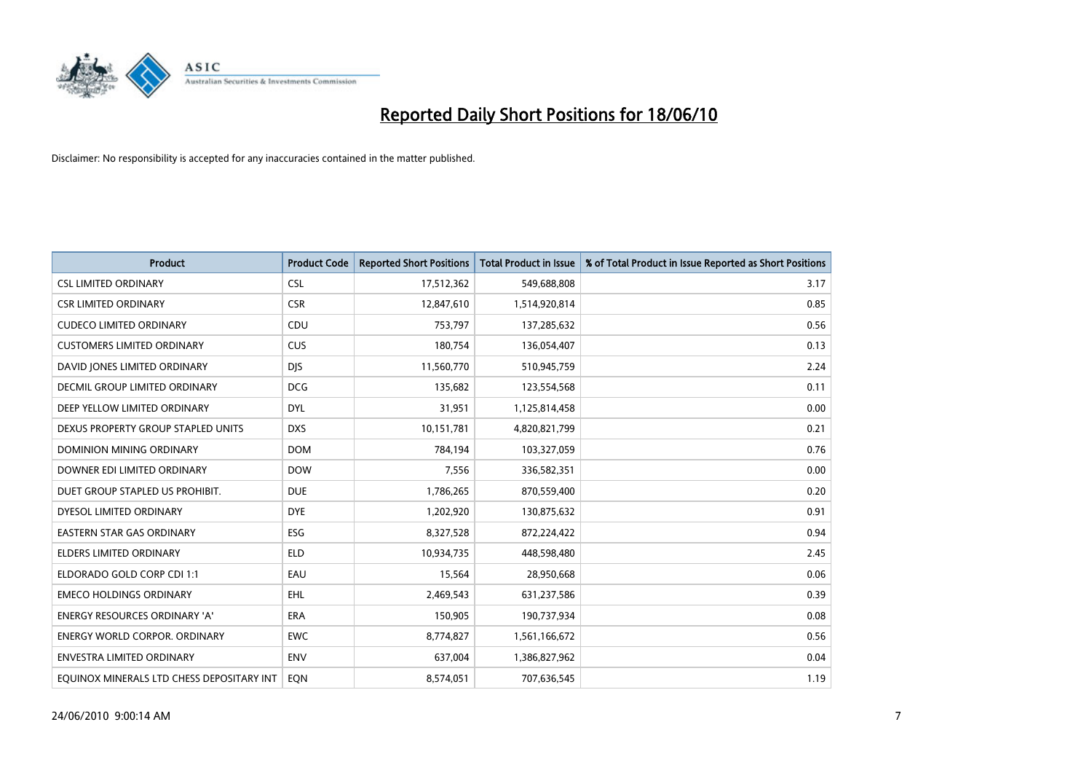

| <b>Product</b>                            | <b>Product Code</b> | <b>Reported Short Positions</b> | <b>Total Product in Issue</b> | % of Total Product in Issue Reported as Short Positions |
|-------------------------------------------|---------------------|---------------------------------|-------------------------------|---------------------------------------------------------|
| <b>CSL LIMITED ORDINARY</b>               | <b>CSL</b>          | 17,512,362                      | 549,688,808                   | 3.17                                                    |
| <b>CSR LIMITED ORDINARY</b>               | <b>CSR</b>          | 12,847,610                      | 1,514,920,814                 | 0.85                                                    |
| <b>CUDECO LIMITED ORDINARY</b>            | CDU                 | 753,797                         | 137,285,632                   | 0.56                                                    |
| <b>CUSTOMERS LIMITED ORDINARY</b>         | <b>CUS</b>          | 180,754                         | 136,054,407                   | 0.13                                                    |
| DAVID JONES LIMITED ORDINARY              | <b>DJS</b>          | 11,560,770                      | 510,945,759                   | 2.24                                                    |
| DECMIL GROUP LIMITED ORDINARY             | <b>DCG</b>          | 135,682                         | 123,554,568                   | 0.11                                                    |
| DEEP YELLOW LIMITED ORDINARY              | <b>DYL</b>          | 31,951                          | 1,125,814,458                 | 0.00                                                    |
| DEXUS PROPERTY GROUP STAPLED UNITS        | <b>DXS</b>          | 10,151,781                      | 4,820,821,799                 | 0.21                                                    |
| DOMINION MINING ORDINARY                  | <b>DOM</b>          | 784,194                         | 103,327,059                   | 0.76                                                    |
| DOWNER EDI LIMITED ORDINARY               | <b>DOW</b>          | 7,556                           | 336,582,351                   | 0.00                                                    |
| DUET GROUP STAPLED US PROHIBIT.           | <b>DUE</b>          | 1,786,265                       | 870,559,400                   | 0.20                                                    |
| DYESOL LIMITED ORDINARY                   | <b>DYE</b>          | 1,202,920                       | 130,875,632                   | 0.91                                                    |
| <b>EASTERN STAR GAS ORDINARY</b>          | ESG                 | 8,327,528                       | 872,224,422                   | 0.94                                                    |
| <b>ELDERS LIMITED ORDINARY</b>            | <b>ELD</b>          | 10,934,735                      | 448,598,480                   | 2.45                                                    |
| ELDORADO GOLD CORP CDI 1:1                | EAU                 | 15,564                          | 28,950,668                    | 0.06                                                    |
| <b>EMECO HOLDINGS ORDINARY</b>            | <b>EHL</b>          | 2,469,543                       | 631,237,586                   | 0.39                                                    |
| <b>ENERGY RESOURCES ORDINARY 'A'</b>      | <b>ERA</b>          | 150,905                         | 190,737,934                   | 0.08                                                    |
| ENERGY WORLD CORPOR. ORDINARY             | <b>EWC</b>          | 8,774,827                       | 1,561,166,672                 | 0.56                                                    |
| <b>ENVESTRA LIMITED ORDINARY</b>          | <b>ENV</b>          | 637,004                         | 1,386,827,962                 | 0.04                                                    |
| EQUINOX MINERALS LTD CHESS DEPOSITARY INT | <b>EON</b>          | 8,574,051                       | 707,636,545                   | 1.19                                                    |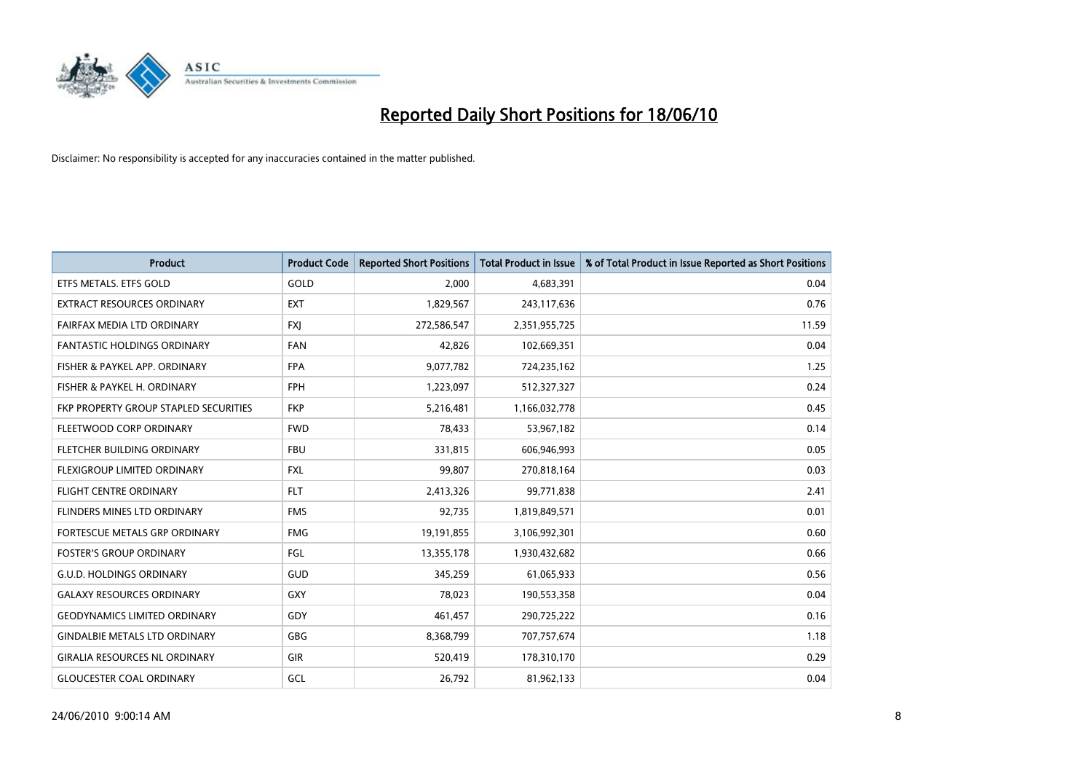

| <b>Product</b>                        | <b>Product Code</b> | <b>Reported Short Positions</b> | <b>Total Product in Issue</b> | % of Total Product in Issue Reported as Short Positions |
|---------------------------------------|---------------------|---------------------------------|-------------------------------|---------------------------------------------------------|
| ETFS METALS. ETFS GOLD                | GOLD                | 2.000                           | 4,683,391                     | 0.04                                                    |
| EXTRACT RESOURCES ORDINARY            | <b>EXT</b>          | 1,829,567                       | 243,117,636                   | 0.76                                                    |
| FAIRFAX MEDIA LTD ORDINARY            | <b>FXI</b>          | 272,586,547                     | 2,351,955,725                 | 11.59                                                   |
| <b>FANTASTIC HOLDINGS ORDINARY</b>    | <b>FAN</b>          | 42.826                          | 102,669,351                   | 0.04                                                    |
| FISHER & PAYKEL APP. ORDINARY         | <b>FPA</b>          | 9,077,782                       | 724,235,162                   | 1.25                                                    |
| FISHER & PAYKEL H. ORDINARY           | FPH                 | 1,223,097                       | 512,327,327                   | 0.24                                                    |
| FKP PROPERTY GROUP STAPLED SECURITIES | <b>FKP</b>          | 5,216,481                       | 1,166,032,778                 | 0.45                                                    |
| FLEETWOOD CORP ORDINARY               | <b>FWD</b>          | 78,433                          | 53,967,182                    | 0.14                                                    |
| FLETCHER BUILDING ORDINARY            | <b>FBU</b>          | 331,815                         | 606,946,993                   | 0.05                                                    |
| FLEXIGROUP LIMITED ORDINARY           | <b>FXL</b>          | 99,807                          | 270,818,164                   | 0.03                                                    |
| FLIGHT CENTRE ORDINARY                | <b>FLT</b>          | 2,413,326                       | 99,771,838                    | 2.41                                                    |
| FLINDERS MINES LTD ORDINARY           | <b>FMS</b>          | 92,735                          | 1,819,849,571                 | 0.01                                                    |
| FORTESCUE METALS GRP ORDINARY         | <b>FMG</b>          | 19,191,855                      | 3,106,992,301                 | 0.60                                                    |
| <b>FOSTER'S GROUP ORDINARY</b>        | FGL                 | 13,355,178                      | 1,930,432,682                 | 0.66                                                    |
| <b>G.U.D. HOLDINGS ORDINARY</b>       | <b>GUD</b>          | 345,259                         | 61,065,933                    | 0.56                                                    |
| <b>GALAXY RESOURCES ORDINARY</b>      | <b>GXY</b>          | 78,023                          | 190,553,358                   | 0.04                                                    |
| <b>GEODYNAMICS LIMITED ORDINARY</b>   | GDY                 | 461,457                         | 290,725,222                   | 0.16                                                    |
| <b>GINDALBIE METALS LTD ORDINARY</b>  | GBG                 | 8,368,799                       | 707,757,674                   | 1.18                                                    |
| <b>GIRALIA RESOURCES NL ORDINARY</b>  | <b>GIR</b>          | 520,419                         | 178,310,170                   | 0.29                                                    |
| <b>GLOUCESTER COAL ORDINARY</b>       | GCL                 | 26,792                          | 81,962,133                    | 0.04                                                    |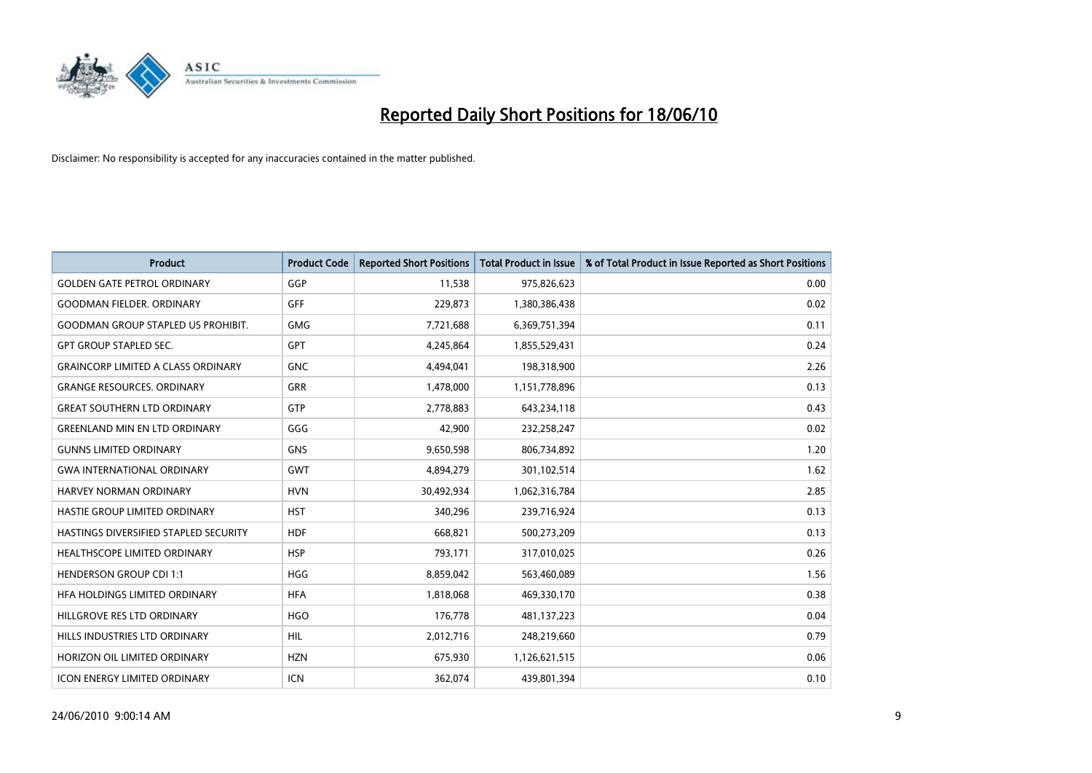

| <b>Product</b>                            | <b>Product Code</b> | <b>Reported Short Positions</b> | <b>Total Product in Issue</b> | % of Total Product in Issue Reported as Short Positions |
|-------------------------------------------|---------------------|---------------------------------|-------------------------------|---------------------------------------------------------|
| <b>GOLDEN GATE PETROL ORDINARY</b>        | GGP                 | 11,538                          | 975,826,623                   | 0.00                                                    |
| <b>GOODMAN FIELDER, ORDINARY</b>          | <b>GFF</b>          | 229,873                         | 1,380,386,438                 | 0.02                                                    |
| <b>GOODMAN GROUP STAPLED US PROHIBIT.</b> | <b>GMG</b>          | 7,721,688                       | 6,369,751,394                 | 0.11                                                    |
| <b>GPT GROUP STAPLED SEC.</b>             | GPT                 | 4,245,864                       | 1,855,529,431                 | 0.24                                                    |
| <b>GRAINCORP LIMITED A CLASS ORDINARY</b> | <b>GNC</b>          | 4,494,041                       | 198,318,900                   | 2.26                                                    |
| <b>GRANGE RESOURCES, ORDINARY</b>         | GRR                 | 1,478,000                       | 1,151,778,896                 | 0.13                                                    |
| <b>GREAT SOUTHERN LTD ORDINARY</b>        | <b>GTP</b>          | 2.778.883                       | 643,234,118                   | 0.43                                                    |
| <b>GREENLAND MIN EN LTD ORDINARY</b>      | GGG                 | 42,900                          | 232,258,247                   | 0.02                                                    |
| <b>GUNNS LIMITED ORDINARY</b>             | <b>GNS</b>          | 9,650,598                       | 806,734,892                   | 1.20                                                    |
| <b>GWA INTERNATIONAL ORDINARY</b>         | <b>GWT</b>          | 4,894,279                       | 301,102,514                   | 1.62                                                    |
| <b>HARVEY NORMAN ORDINARY</b>             | <b>HVN</b>          | 30,492,934                      | 1,062,316,784                 | 2.85                                                    |
| HASTIE GROUP LIMITED ORDINARY             | <b>HST</b>          | 340,296                         | 239,716,924                   | 0.13                                                    |
| HASTINGS DIVERSIFIED STAPLED SECURITY     | <b>HDF</b>          | 668.821                         | 500,273,209                   | 0.13                                                    |
| <b>HEALTHSCOPE LIMITED ORDINARY</b>       | <b>HSP</b>          | 793,171                         | 317,010,025                   | 0.26                                                    |
| <b>HENDERSON GROUP CDI 1:1</b>            | <b>HGG</b>          | 8,859,042                       | 563,460,089                   | 1.56                                                    |
| HFA HOLDINGS LIMITED ORDINARY             | <b>HFA</b>          | 1,818,068                       | 469,330,170                   | 0.38                                                    |
| HILLGROVE RES LTD ORDINARY                | <b>HGO</b>          | 176,778                         | 481,137,223                   | 0.04                                                    |
| HILLS INDUSTRIES LTD ORDINARY             | <b>HIL</b>          | 2,012,716                       | 248,219,660                   | 0.79                                                    |
| HORIZON OIL LIMITED ORDINARY              | <b>HZN</b>          | 675,930                         | 1,126,621,515                 | 0.06                                                    |
| <b>ICON ENERGY LIMITED ORDINARY</b>       | <b>ICN</b>          | 362.074                         | 439,801,394                   | 0.10                                                    |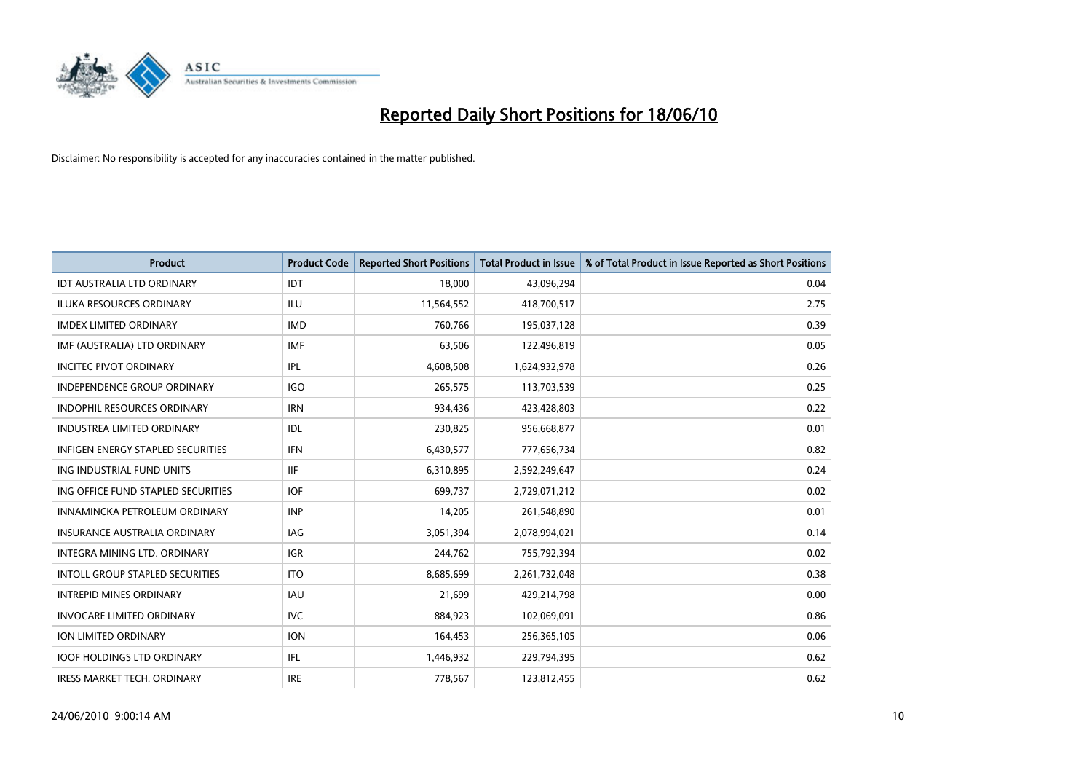

| <b>Product</b>                         | <b>Product Code</b> | <b>Reported Short Positions</b> | <b>Total Product in Issue</b> | % of Total Product in Issue Reported as Short Positions |
|----------------------------------------|---------------------|---------------------------------|-------------------------------|---------------------------------------------------------|
| <b>IDT AUSTRALIA LTD ORDINARY</b>      | <b>IDT</b>          | 18,000                          | 43,096,294                    | 0.04                                                    |
| ILUKA RESOURCES ORDINARY               | ILU                 | 11,564,552                      | 418,700,517                   | 2.75                                                    |
| <b>IMDEX LIMITED ORDINARY</b>          | <b>IMD</b>          | 760.766                         | 195,037,128                   | 0.39                                                    |
| IMF (AUSTRALIA) LTD ORDINARY           | <b>IMF</b>          | 63,506                          | 122,496,819                   | 0.05                                                    |
| <b>INCITEC PIVOT ORDINARY</b>          | <b>IPL</b>          | 4,608,508                       | 1,624,932,978                 | 0.26                                                    |
| <b>INDEPENDENCE GROUP ORDINARY</b>     | <b>IGO</b>          | 265,575                         | 113,703,539                   | 0.25                                                    |
| <b>INDOPHIL RESOURCES ORDINARY</b>     | <b>IRN</b>          | 934,436                         | 423,428,803                   | 0.22                                                    |
| <b>INDUSTREA LIMITED ORDINARY</b>      | IDL                 | 230,825                         | 956,668,877                   | 0.01                                                    |
| INFIGEN ENERGY STAPLED SECURITIES      | <b>IFN</b>          | 6,430,577                       | 777,656,734                   | 0.82                                                    |
| ING INDUSTRIAL FUND UNITS              | <b>IIF</b>          | 6,310,895                       | 2,592,249,647                 | 0.24                                                    |
| ING OFFICE FUND STAPLED SECURITIES     | <b>IOF</b>          | 699,737                         | 2,729,071,212                 | 0.02                                                    |
| INNAMINCKA PETROLEUM ORDINARY          | <b>INP</b>          | 14,205                          | 261,548,890                   | 0.01                                                    |
| <b>INSURANCE AUSTRALIA ORDINARY</b>    | IAG                 | 3,051,394                       | 2,078,994,021                 | 0.14                                                    |
| <b>INTEGRA MINING LTD, ORDINARY</b>    | <b>IGR</b>          | 244,762                         | 755,792,394                   | 0.02                                                    |
| <b>INTOLL GROUP STAPLED SECURITIES</b> | <b>ITO</b>          | 8,685,699                       | 2,261,732,048                 | 0.38                                                    |
| <b>INTREPID MINES ORDINARY</b>         | <b>IAU</b>          | 21,699                          | 429,214,798                   | 0.00                                                    |
| <b>INVOCARE LIMITED ORDINARY</b>       | <b>IVC</b>          | 884.923                         | 102,069,091                   | 0.86                                                    |
| ION LIMITED ORDINARY                   | <b>ION</b>          | 164,453                         | 256,365,105                   | 0.06                                                    |
| <b>IOOF HOLDINGS LTD ORDINARY</b>      | IFL.                | 1,446,932                       | 229,794,395                   | 0.62                                                    |
| <b>IRESS MARKET TECH. ORDINARY</b>     | <b>IRE</b>          | 778,567                         | 123,812,455                   | 0.62                                                    |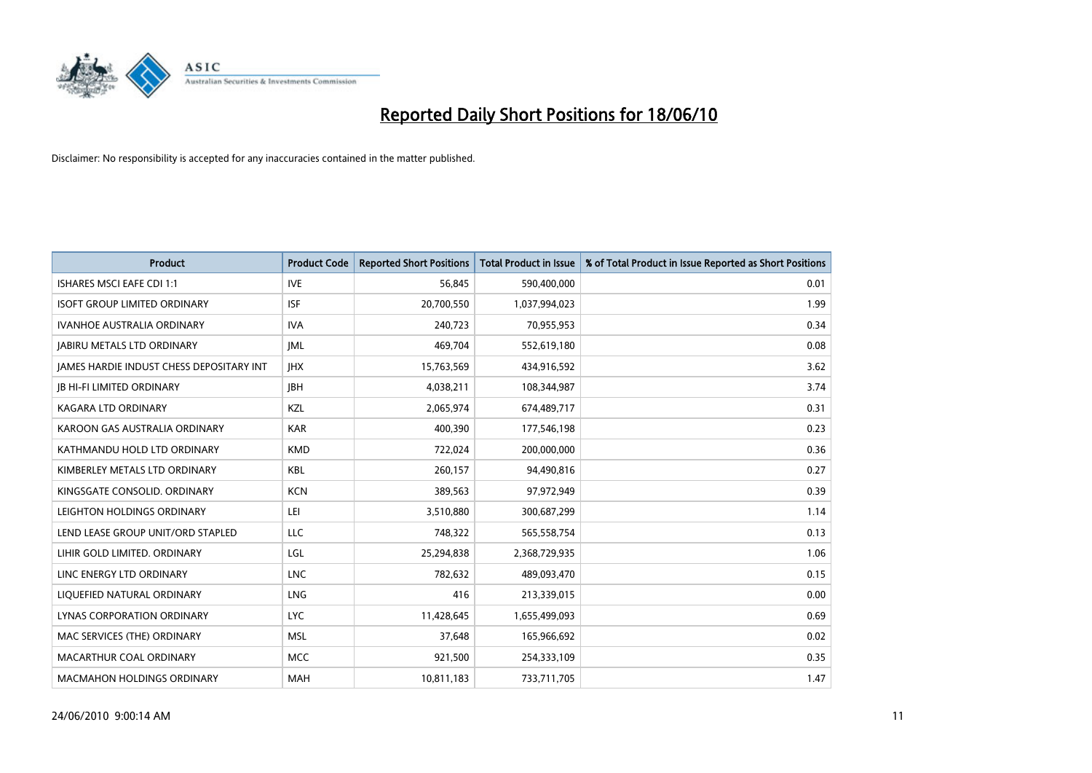

| <b>Product</b>                                  | <b>Product Code</b> | <b>Reported Short Positions</b> | Total Product in Issue | % of Total Product in Issue Reported as Short Positions |
|-------------------------------------------------|---------------------|---------------------------------|------------------------|---------------------------------------------------------|
| <b>ISHARES MSCI EAFE CDI 1:1</b>                | <b>IVE</b>          | 56,845                          | 590,400,000            | 0.01                                                    |
| <b>ISOFT GROUP LIMITED ORDINARY</b>             | <b>ISF</b>          | 20,700,550                      | 1,037,994,023          | 1.99                                                    |
| <b>IVANHOE AUSTRALIA ORDINARY</b>               | <b>IVA</b>          | 240,723                         | 70,955,953             | 0.34                                                    |
| <b>JABIRU METALS LTD ORDINARY</b>               | <b>JML</b>          | 469,704                         | 552,619,180            | 0.08                                                    |
| <b>IAMES HARDIE INDUST CHESS DEPOSITARY INT</b> | <b>IHX</b>          | 15,763,569                      | 434,916,592            | 3.62                                                    |
| <b>JB HI-FI LIMITED ORDINARY</b>                | <b>JBH</b>          | 4,038,211                       | 108,344,987            | 3.74                                                    |
| KAGARA LTD ORDINARY                             | KZL                 | 2,065,974                       | 674,489,717            | 0.31                                                    |
| KAROON GAS AUSTRALIA ORDINARY                   | <b>KAR</b>          | 400,390                         | 177,546,198            | 0.23                                                    |
| KATHMANDU HOLD LTD ORDINARY                     | <b>KMD</b>          | 722,024                         | 200,000,000            | 0.36                                                    |
| KIMBERLEY METALS LTD ORDINARY                   | <b>KBL</b>          | 260,157                         | 94,490,816             | 0.27                                                    |
| KINGSGATE CONSOLID. ORDINARY                    | <b>KCN</b>          | 389,563                         | 97,972,949             | 0.39                                                    |
| LEIGHTON HOLDINGS ORDINARY                      | LEI                 | 3,510,880                       | 300,687,299            | 1.14                                                    |
| LEND LEASE GROUP UNIT/ORD STAPLED               | LLC                 | 748,322                         | 565,558,754            | 0.13                                                    |
| LIHIR GOLD LIMITED. ORDINARY                    | LGL                 | 25,294,838                      | 2,368,729,935          | 1.06                                                    |
| LINC ENERGY LTD ORDINARY                        | <b>LNC</b>          | 782,632                         | 489,093,470            | 0.15                                                    |
| LIQUEFIED NATURAL ORDINARY                      | <b>LNG</b>          | 416                             | 213,339,015            | 0.00                                                    |
| LYNAS CORPORATION ORDINARY                      | <b>LYC</b>          | 11,428,645                      | 1,655,499,093          | 0.69                                                    |
| MAC SERVICES (THE) ORDINARY                     | <b>MSL</b>          | 37,648                          | 165,966,692            | 0.02                                                    |
| MACARTHUR COAL ORDINARY                         | <b>MCC</b>          | 921,500                         | 254,333,109            | 0.35                                                    |
| <b>MACMAHON HOLDINGS ORDINARY</b>               | <b>MAH</b>          | 10,811,183                      | 733,711,705            | 1.47                                                    |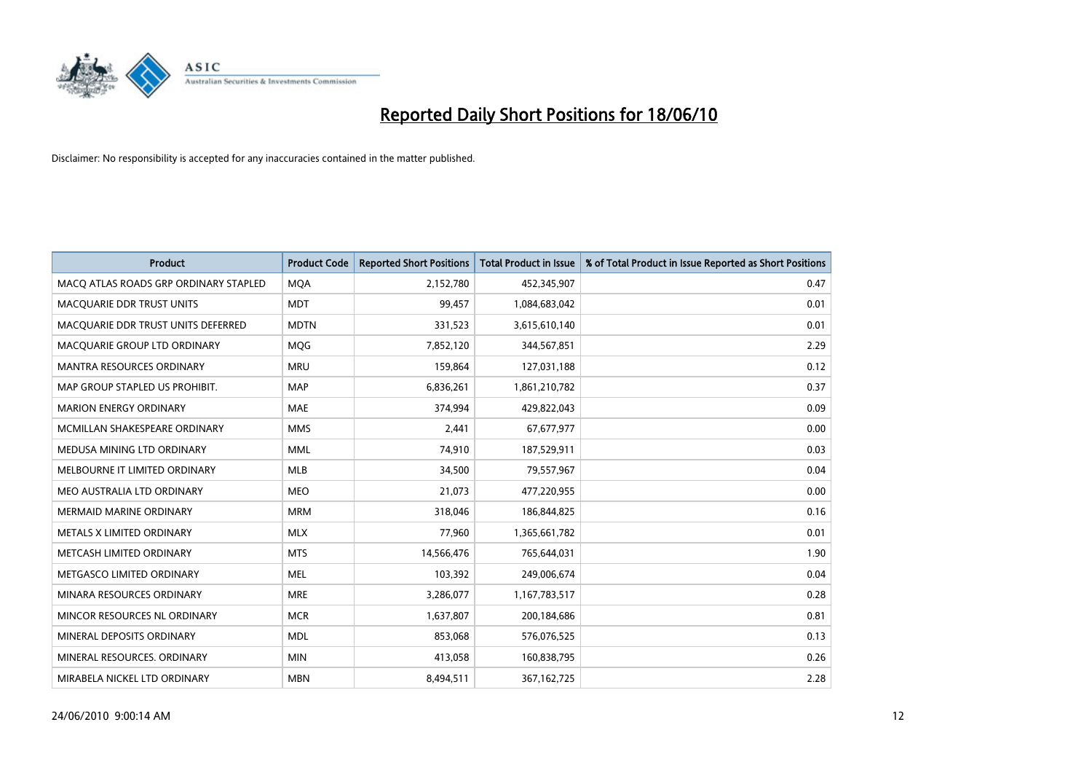

| <b>Product</b>                        | <b>Product Code</b> | <b>Reported Short Positions</b> | Total Product in Issue | % of Total Product in Issue Reported as Short Positions |
|---------------------------------------|---------------------|---------------------------------|------------------------|---------------------------------------------------------|
| MACQ ATLAS ROADS GRP ORDINARY STAPLED | <b>MQA</b>          | 2,152,780                       | 452,345,907            | 0.47                                                    |
| <b>MACQUARIE DDR TRUST UNITS</b>      | <b>MDT</b>          | 99,457                          | 1,084,683,042          | 0.01                                                    |
| MACQUARIE DDR TRUST UNITS DEFERRED    | <b>MDTN</b>         | 331,523                         | 3,615,610,140          | 0.01                                                    |
| MACQUARIE GROUP LTD ORDINARY          | MQG                 | 7,852,120                       | 344,567,851            | 2.29                                                    |
| <b>MANTRA RESOURCES ORDINARY</b>      | <b>MRU</b>          | 159,864                         | 127,031,188            | 0.12                                                    |
| MAP GROUP STAPLED US PROHIBIT.        | <b>MAP</b>          | 6,836,261                       | 1,861,210,782          | 0.37                                                    |
| <b>MARION ENERGY ORDINARY</b>         | <b>MAE</b>          | 374,994                         | 429,822,043            | 0.09                                                    |
| MCMILLAN SHAKESPEARE ORDINARY         | <b>MMS</b>          | 2,441                           | 67,677,977             | 0.00                                                    |
| MEDUSA MINING LTD ORDINARY            | <b>MML</b>          | 74,910                          | 187,529,911            | 0.03                                                    |
| MELBOURNE IT LIMITED ORDINARY         | <b>MLB</b>          | 34,500                          | 79,557,967             | 0.04                                                    |
| MEO AUSTRALIA LTD ORDINARY            | <b>MEO</b>          | 21,073                          | 477,220,955            | 0.00                                                    |
| <b>MERMAID MARINE ORDINARY</b>        | <b>MRM</b>          | 318,046                         | 186,844,825            | 0.16                                                    |
| METALS X LIMITED ORDINARY             | <b>MLX</b>          | 77,960                          | 1,365,661,782          | 0.01                                                    |
| METCASH LIMITED ORDINARY              | <b>MTS</b>          | 14,566,476                      | 765,644,031            | 1.90                                                    |
| METGASCO LIMITED ORDINARY             | <b>MEL</b>          | 103,392                         | 249,006,674            | 0.04                                                    |
| MINARA RESOURCES ORDINARY             | <b>MRE</b>          | 3,286,077                       | 1,167,783,517          | 0.28                                                    |
| MINCOR RESOURCES NL ORDINARY          | <b>MCR</b>          | 1,637,807                       | 200,184,686            | 0.81                                                    |
| MINERAL DEPOSITS ORDINARY             | <b>MDL</b>          | 853,068                         | 576,076,525            | 0.13                                                    |
| MINERAL RESOURCES, ORDINARY           | <b>MIN</b>          | 413,058                         | 160,838,795            | 0.26                                                    |
| MIRABELA NICKEL LTD ORDINARY          | <b>MBN</b>          | 8,494,511                       | 367, 162, 725          | 2.28                                                    |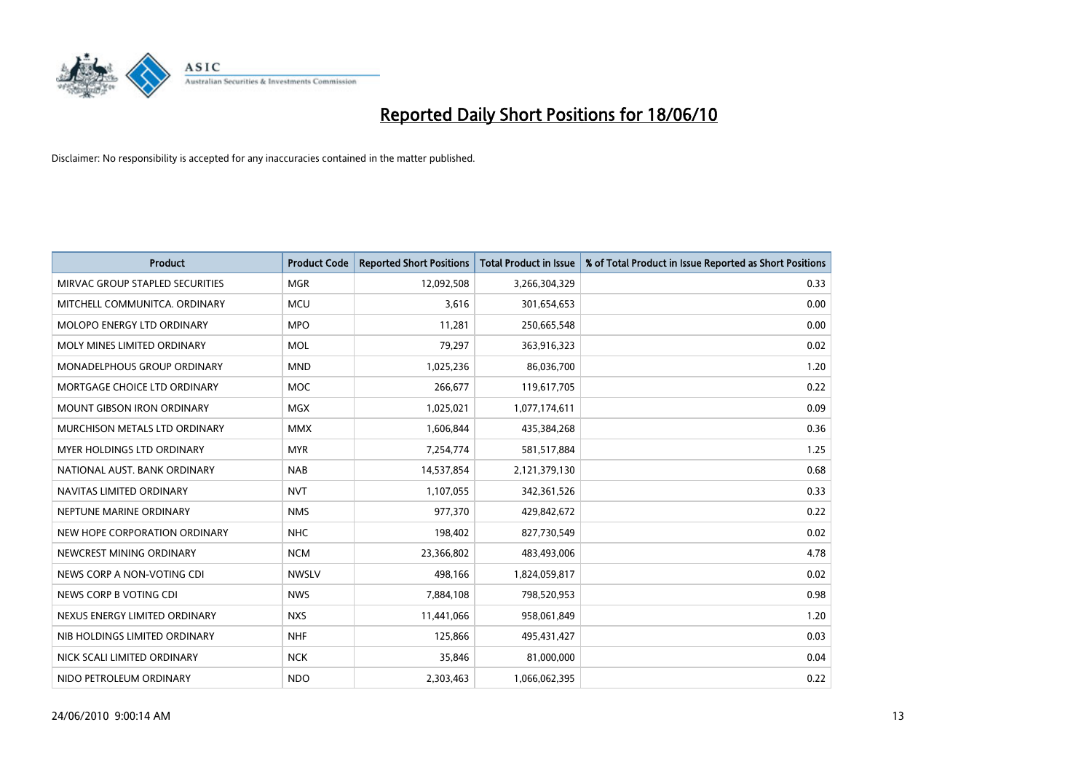

| <b>Product</b>                     | <b>Product Code</b> | <b>Reported Short Positions</b> | <b>Total Product in Issue</b> | % of Total Product in Issue Reported as Short Positions |
|------------------------------------|---------------------|---------------------------------|-------------------------------|---------------------------------------------------------|
| MIRVAC GROUP STAPLED SECURITIES    | <b>MGR</b>          | 12,092,508                      | 3,266,304,329                 | 0.33                                                    |
| MITCHELL COMMUNITCA. ORDINARY      | <b>MCU</b>          | 3,616                           | 301,654,653                   | 0.00                                                    |
| <b>MOLOPO ENERGY LTD ORDINARY</b>  | <b>MPO</b>          | 11,281                          | 250,665,548                   | 0.00                                                    |
| MOLY MINES LIMITED ORDINARY        | <b>MOL</b>          | 79,297                          | 363,916,323                   | 0.02                                                    |
| <b>MONADELPHOUS GROUP ORDINARY</b> | <b>MND</b>          | 1,025,236                       | 86,036,700                    | 1.20                                                    |
| MORTGAGE CHOICE LTD ORDINARY       | <b>MOC</b>          | 266,677                         | 119,617,705                   | 0.22                                                    |
| <b>MOUNT GIBSON IRON ORDINARY</b>  | <b>MGX</b>          | 1,025,021                       | 1,077,174,611                 | 0.09                                                    |
| MURCHISON METALS LTD ORDINARY      | <b>MMX</b>          | 1,606,844                       | 435,384,268                   | 0.36                                                    |
| MYER HOLDINGS LTD ORDINARY         | <b>MYR</b>          | 7,254,774                       | 581,517,884                   | 1.25                                                    |
| NATIONAL AUST. BANK ORDINARY       | <b>NAB</b>          | 14,537,854                      | 2,121,379,130                 | 0.68                                                    |
| NAVITAS LIMITED ORDINARY           | <b>NVT</b>          | 1,107,055                       | 342,361,526                   | 0.33                                                    |
| NEPTUNE MARINE ORDINARY            | <b>NMS</b>          | 977,370                         | 429,842,672                   | 0.22                                                    |
| NEW HOPE CORPORATION ORDINARY      | <b>NHC</b>          | 198,402                         | 827,730,549                   | 0.02                                                    |
| NEWCREST MINING ORDINARY           | <b>NCM</b>          | 23,366,802                      | 483,493,006                   | 4.78                                                    |
| NEWS CORP A NON-VOTING CDI         | <b>NWSLV</b>        | 498,166                         | 1,824,059,817                 | 0.02                                                    |
| NEWS CORP B VOTING CDI             | <b>NWS</b>          | 7,884,108                       | 798,520,953                   | 0.98                                                    |
| NEXUS ENERGY LIMITED ORDINARY      | <b>NXS</b>          | 11,441,066                      | 958,061,849                   | 1.20                                                    |
| NIB HOLDINGS LIMITED ORDINARY      | <b>NHF</b>          | 125,866                         | 495,431,427                   | 0.03                                                    |
| NICK SCALI LIMITED ORDINARY        | <b>NCK</b>          | 35,846                          | 81,000,000                    | 0.04                                                    |
| NIDO PETROLEUM ORDINARY            | <b>NDO</b>          | 2,303,463                       | 1,066,062,395                 | 0.22                                                    |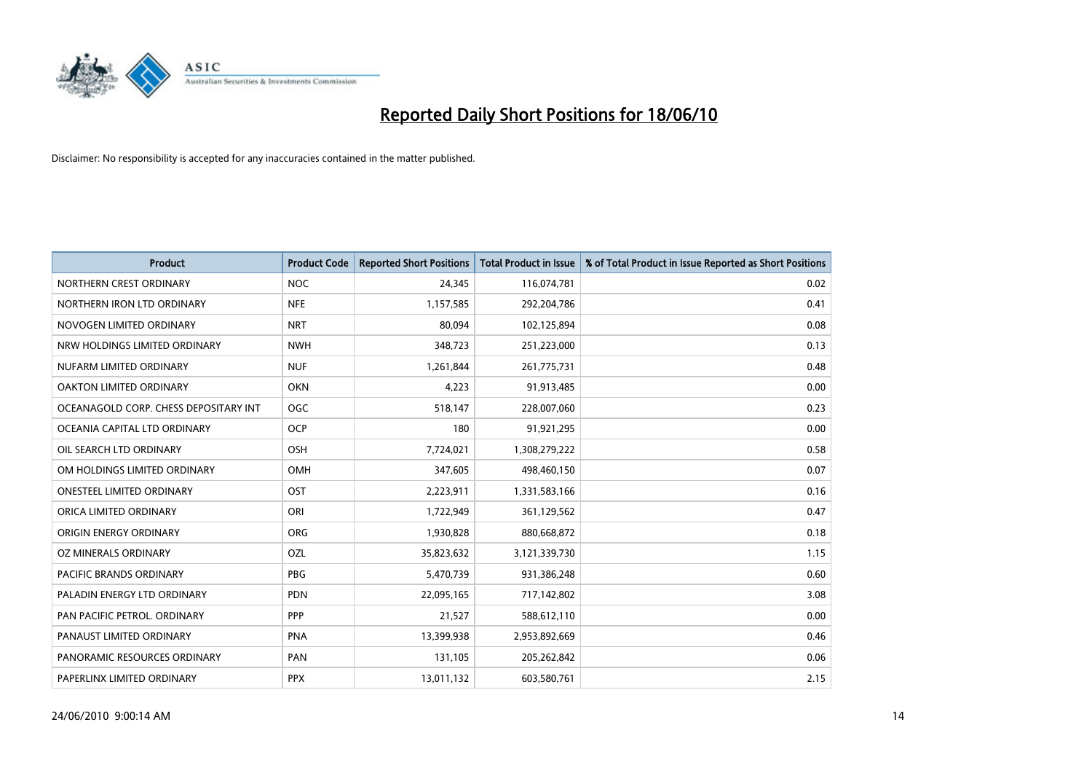

| <b>Product</b>                        | <b>Product Code</b> | <b>Reported Short Positions</b> | <b>Total Product in Issue</b> | % of Total Product in Issue Reported as Short Positions |
|---------------------------------------|---------------------|---------------------------------|-------------------------------|---------------------------------------------------------|
| NORTHERN CREST ORDINARY               | <b>NOC</b>          | 24,345                          | 116,074,781                   | 0.02                                                    |
| NORTHERN IRON LTD ORDINARY            | <b>NFE</b>          | 1,157,585                       | 292,204,786                   | 0.41                                                    |
| NOVOGEN LIMITED ORDINARY              | <b>NRT</b>          | 80.094                          | 102,125,894                   | 0.08                                                    |
| NRW HOLDINGS LIMITED ORDINARY         | <b>NWH</b>          | 348,723                         | 251,223,000                   | 0.13                                                    |
| NUFARM LIMITED ORDINARY               | <b>NUF</b>          | 1,261,844                       | 261,775,731                   | 0.48                                                    |
| OAKTON LIMITED ORDINARY               | <b>OKN</b>          | 4,223                           | 91,913,485                    | 0.00                                                    |
| OCEANAGOLD CORP. CHESS DEPOSITARY INT | <b>OGC</b>          | 518,147                         | 228,007,060                   | 0.23                                                    |
| OCEANIA CAPITAL LTD ORDINARY          | <b>OCP</b>          | 180                             | 91,921,295                    | 0.00                                                    |
| OIL SEARCH LTD ORDINARY               | <b>OSH</b>          | 7,724,021                       | 1,308,279,222                 | 0.58                                                    |
| OM HOLDINGS LIMITED ORDINARY          | <b>OMH</b>          | 347,605                         | 498,460,150                   | 0.07                                                    |
| ONESTEEL LIMITED ORDINARY             | <b>OST</b>          | 2,223,911                       | 1,331,583,166                 | 0.16                                                    |
| ORICA LIMITED ORDINARY                | ORI                 | 1,722,949                       | 361,129,562                   | 0.47                                                    |
| ORIGIN ENERGY ORDINARY                | <b>ORG</b>          | 1,930,828                       | 880,668,872                   | 0.18                                                    |
| OZ MINERALS ORDINARY                  | OZL                 | 35,823,632                      | 3,121,339,730                 | 1.15                                                    |
| <b>PACIFIC BRANDS ORDINARY</b>        | PBG                 | 5,470,739                       | 931,386,248                   | 0.60                                                    |
| PALADIN ENERGY LTD ORDINARY           | <b>PDN</b>          | 22,095,165                      | 717,142,802                   | 3.08                                                    |
| PAN PACIFIC PETROL. ORDINARY          | PPP                 | 21,527                          | 588,612,110                   | 0.00                                                    |
| PANAUST LIMITED ORDINARY              | <b>PNA</b>          | 13,399,938                      | 2,953,892,669                 | 0.46                                                    |
| PANORAMIC RESOURCES ORDINARY          | PAN                 | 131,105                         | 205,262,842                   | 0.06                                                    |
| PAPERLINX LIMITED ORDINARY            | <b>PPX</b>          | 13,011,132                      | 603,580,761                   | 2.15                                                    |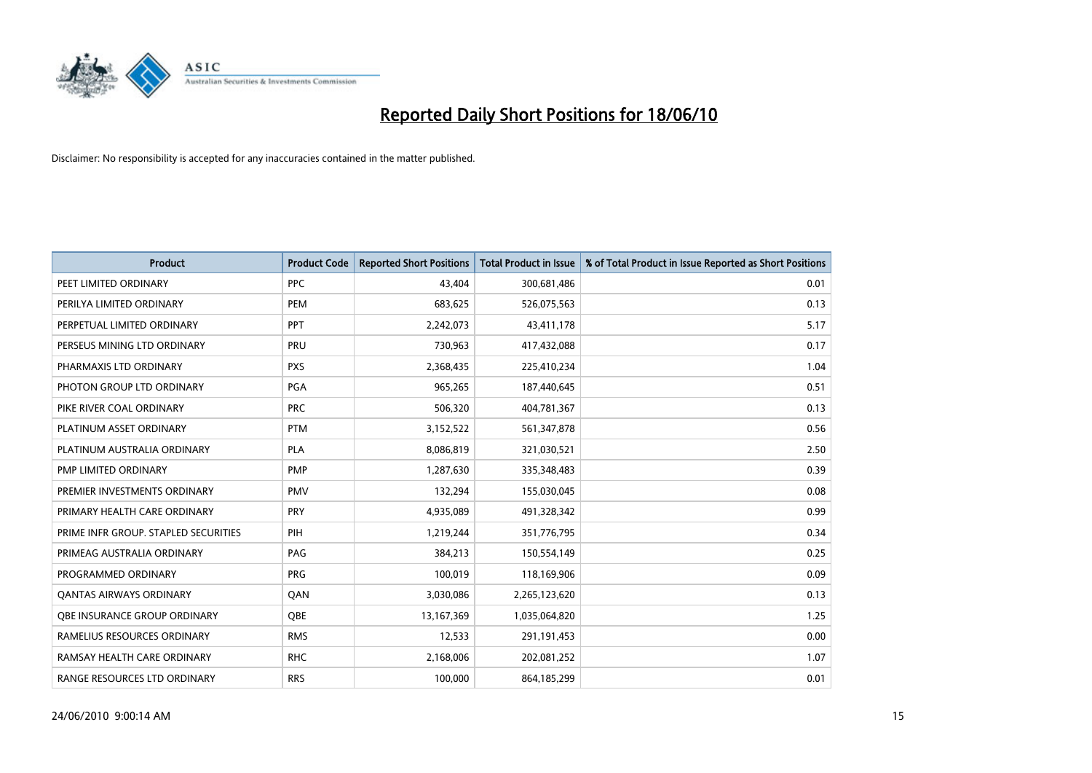

| <b>Product</b>                       | <b>Product Code</b> | <b>Reported Short Positions</b> | <b>Total Product in Issue</b> | % of Total Product in Issue Reported as Short Positions |
|--------------------------------------|---------------------|---------------------------------|-------------------------------|---------------------------------------------------------|
| PEET LIMITED ORDINARY                | PPC                 | 43.404                          | 300,681,486                   | 0.01                                                    |
| PERILYA LIMITED ORDINARY             | PEM                 | 683,625                         | 526,075,563                   | 0.13                                                    |
| PERPETUAL LIMITED ORDINARY           | PPT                 | 2,242,073                       | 43,411,178                    | 5.17                                                    |
| PERSEUS MINING LTD ORDINARY          | PRU                 | 730,963                         | 417,432,088                   | 0.17                                                    |
| PHARMAXIS LTD ORDINARY               | <b>PXS</b>          | 2,368,435                       | 225,410,234                   | 1.04                                                    |
| PHOTON GROUP LTD ORDINARY            | <b>PGA</b>          | 965,265                         | 187,440,645                   | 0.51                                                    |
| PIKE RIVER COAL ORDINARY             | <b>PRC</b>          | 506,320                         | 404,781,367                   | 0.13                                                    |
| PLATINUM ASSET ORDINARY              | <b>PTM</b>          | 3,152,522                       | 561,347,878                   | 0.56                                                    |
| PLATINUM AUSTRALIA ORDINARY          | <b>PLA</b>          | 8,086,819                       | 321,030,521                   | 2.50                                                    |
| PMP LIMITED ORDINARY                 | <b>PMP</b>          | 1,287,630                       | 335, 348, 483                 | 0.39                                                    |
| PREMIER INVESTMENTS ORDINARY         | <b>PMV</b>          | 132,294                         | 155,030,045                   | 0.08                                                    |
| PRIMARY HEALTH CARE ORDINARY         | <b>PRY</b>          | 4,935,089                       | 491,328,342                   | 0.99                                                    |
| PRIME INFR GROUP. STAPLED SECURITIES | PIH                 | 1,219,244                       | 351,776,795                   | 0.34                                                    |
| PRIMEAG AUSTRALIA ORDINARY           | PAG                 | 384,213                         | 150,554,149                   | 0.25                                                    |
| PROGRAMMED ORDINARY                  | PRG                 | 100,019                         | 118,169,906                   | 0.09                                                    |
| <b>QANTAS AIRWAYS ORDINARY</b>       | QAN                 | 3,030,086                       | 2,265,123,620                 | 0.13                                                    |
| <b>OBE INSURANCE GROUP ORDINARY</b>  | <b>OBE</b>          | 13,167,369                      | 1,035,064,820                 | 1.25                                                    |
| RAMELIUS RESOURCES ORDINARY          | <b>RMS</b>          | 12,533                          | 291,191,453                   | 0.00                                                    |
| RAMSAY HEALTH CARE ORDINARY          | <b>RHC</b>          | 2,168,006                       | 202,081,252                   | 1.07                                                    |
| RANGE RESOURCES LTD ORDINARY         | <b>RRS</b>          | 100,000                         | 864,185,299                   | 0.01                                                    |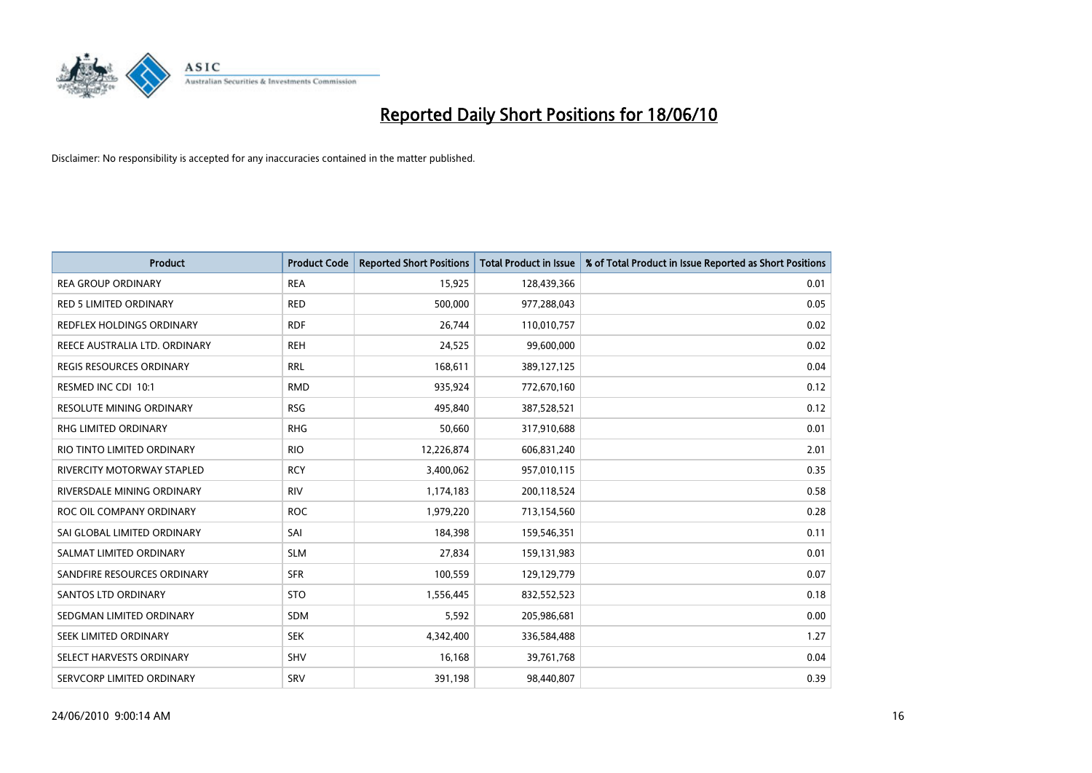

| <b>Product</b>                    | <b>Product Code</b> | <b>Reported Short Positions</b> | Total Product in Issue | % of Total Product in Issue Reported as Short Positions |
|-----------------------------------|---------------------|---------------------------------|------------------------|---------------------------------------------------------|
| <b>REA GROUP ORDINARY</b>         | <b>REA</b>          | 15,925                          | 128,439,366            | 0.01                                                    |
| <b>RED 5 LIMITED ORDINARY</b>     | <b>RED</b>          | 500,000                         | 977,288,043            | 0.05                                                    |
| <b>REDFLEX HOLDINGS ORDINARY</b>  | <b>RDF</b>          | 26,744                          | 110,010,757            | 0.02                                                    |
| REECE AUSTRALIA LTD. ORDINARY     | <b>REH</b>          | 24,525                          | 99,600,000             | 0.02                                                    |
| <b>REGIS RESOURCES ORDINARY</b>   | <b>RRL</b>          | 168,611                         | 389,127,125            | 0.04                                                    |
| RESMED INC CDI 10:1               | <b>RMD</b>          | 935,924                         | 772,670,160            | 0.12                                                    |
| <b>RESOLUTE MINING ORDINARY</b>   | <b>RSG</b>          | 495,840                         | 387,528,521            | 0.12                                                    |
| RHG LIMITED ORDINARY              | <b>RHG</b>          | 50,660                          | 317,910,688            | 0.01                                                    |
| RIO TINTO LIMITED ORDINARY        | <b>RIO</b>          | 12,226,874                      | 606,831,240            | 2.01                                                    |
| <b>RIVERCITY MOTORWAY STAPLED</b> | <b>RCY</b>          | 3,400,062                       | 957,010,115            | 0.35                                                    |
| RIVERSDALE MINING ORDINARY        | <b>RIV</b>          | 1,174,183                       | 200,118,524            | 0.58                                                    |
| ROC OIL COMPANY ORDINARY          | <b>ROC</b>          | 1,979,220                       | 713,154,560            | 0.28                                                    |
| SAI GLOBAL LIMITED ORDINARY       | SAI                 | 184,398                         | 159,546,351            | 0.11                                                    |
| SALMAT LIMITED ORDINARY           | <b>SLM</b>          | 27,834                          | 159,131,983            | 0.01                                                    |
| SANDFIRE RESOURCES ORDINARY       | <b>SFR</b>          | 100,559                         | 129,129,779            | 0.07                                                    |
| SANTOS LTD ORDINARY               | <b>STO</b>          | 1,556,445                       | 832,552,523            | 0.18                                                    |
| SEDGMAN LIMITED ORDINARY          | <b>SDM</b>          | 5,592                           | 205,986,681            | 0.00                                                    |
| SEEK LIMITED ORDINARY             | <b>SEK</b>          | 4,342,400                       | 336,584,488            | 1.27                                                    |
| SELECT HARVESTS ORDINARY          | <b>SHV</b>          | 16,168                          | 39,761,768             | 0.04                                                    |
| SERVCORP LIMITED ORDINARY         | SRV                 | 391,198                         | 98,440,807             | 0.39                                                    |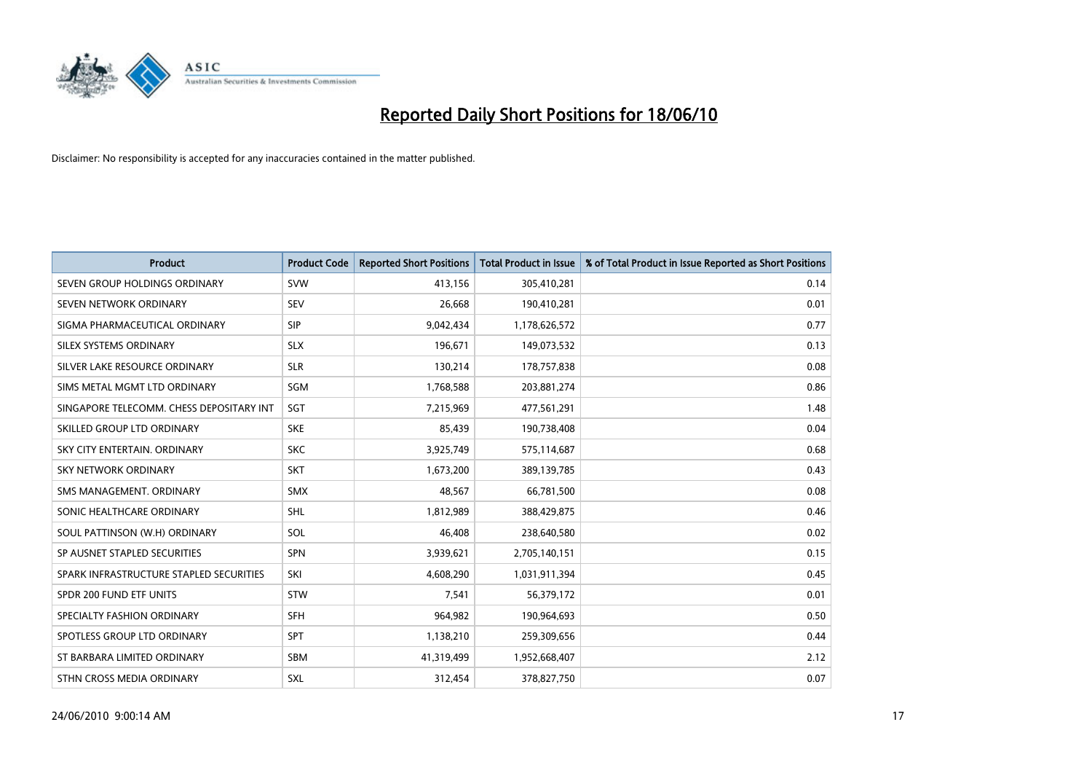

| <b>Product</b>                           | <b>Product Code</b> | <b>Reported Short Positions</b> | Total Product in Issue | % of Total Product in Issue Reported as Short Positions |
|------------------------------------------|---------------------|---------------------------------|------------------------|---------------------------------------------------------|
| SEVEN GROUP HOLDINGS ORDINARY            | SVW                 | 413,156                         | 305,410,281            | 0.14                                                    |
| SEVEN NETWORK ORDINARY                   | <b>SEV</b>          | 26.668                          | 190,410,281            | 0.01                                                    |
| SIGMA PHARMACEUTICAL ORDINARY            | SIP                 | 9,042,434                       | 1,178,626,572          | 0.77                                                    |
| SILEX SYSTEMS ORDINARY                   | <b>SLX</b>          | 196,671                         | 149,073,532            | 0.13                                                    |
| SILVER LAKE RESOURCE ORDINARY            | <b>SLR</b>          | 130,214                         | 178,757,838            | 0.08                                                    |
| SIMS METAL MGMT LTD ORDINARY             | SGM                 | 1,768,588                       | 203,881,274            | 0.86                                                    |
| SINGAPORE TELECOMM. CHESS DEPOSITARY INT | SGT                 | 7,215,969                       | 477,561,291            | 1.48                                                    |
| SKILLED GROUP LTD ORDINARY               | <b>SKE</b>          | 85,439                          | 190,738,408            | 0.04                                                    |
| SKY CITY ENTERTAIN. ORDINARY             | <b>SKC</b>          | 3,925,749                       | 575,114,687            | 0.68                                                    |
| <b>SKY NETWORK ORDINARY</b>              | <b>SKT</b>          | 1,673,200                       | 389,139,785            | 0.43                                                    |
| SMS MANAGEMENT, ORDINARY                 | <b>SMX</b>          | 48,567                          | 66,781,500             | 0.08                                                    |
| SONIC HEALTHCARE ORDINARY                | <b>SHL</b>          | 1,812,989                       | 388,429,875            | 0.46                                                    |
| SOUL PATTINSON (W.H) ORDINARY            | SOL                 | 46.408                          | 238,640,580            | 0.02                                                    |
| SP AUSNET STAPLED SECURITIES             | SPN                 | 3,939,621                       | 2,705,140,151          | 0.15                                                    |
| SPARK INFRASTRUCTURE STAPLED SECURITIES  | SKI                 | 4,608,290                       | 1,031,911,394          | 0.45                                                    |
| SPDR 200 FUND ETF UNITS                  | STW                 | 7,541                           | 56,379,172             | 0.01                                                    |
| SPECIALTY FASHION ORDINARY               | <b>SFH</b>          | 964,982                         | 190,964,693            | 0.50                                                    |
| SPOTLESS GROUP LTD ORDINARY              | <b>SPT</b>          | 1,138,210                       | 259,309,656            | 0.44                                                    |
| ST BARBARA LIMITED ORDINARY              | SBM                 | 41,319,499                      | 1,952,668,407          | 2.12                                                    |
| STHN CROSS MEDIA ORDINARY                | <b>SXL</b>          | 312,454                         | 378,827,750            | 0.07                                                    |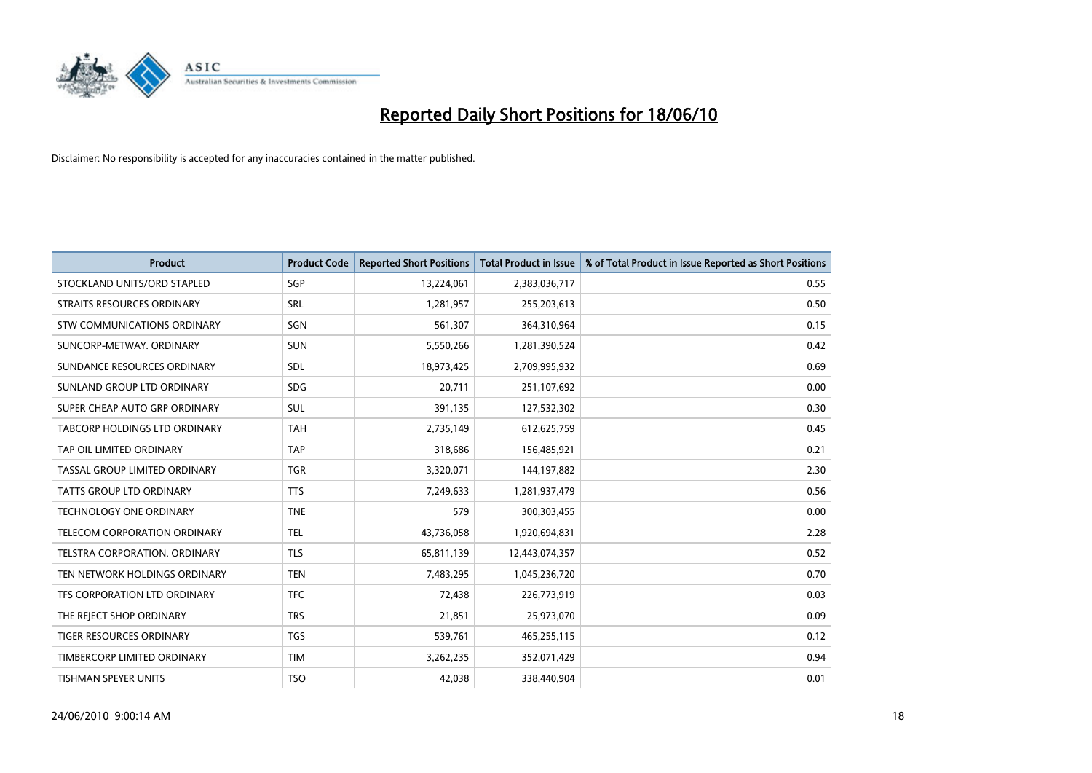

| <b>Product</b>                       | <b>Product Code</b> | <b>Reported Short Positions</b> | Total Product in Issue | % of Total Product in Issue Reported as Short Positions |
|--------------------------------------|---------------------|---------------------------------|------------------------|---------------------------------------------------------|
| STOCKLAND UNITS/ORD STAPLED          | SGP                 | 13,224,061                      | 2,383,036,717          | 0.55                                                    |
| STRAITS RESOURCES ORDINARY           | SRL                 | 1,281,957                       | 255,203,613            | 0.50                                                    |
| STW COMMUNICATIONS ORDINARY          | SGN                 | 561,307                         | 364,310,964            | 0.15                                                    |
| SUNCORP-METWAY, ORDINARY             | <b>SUN</b>          | 5,550,266                       | 1,281,390,524          | 0.42                                                    |
| SUNDANCE RESOURCES ORDINARY          | SDL                 | 18,973,425                      | 2,709,995,932          | 0.69                                                    |
| SUNLAND GROUP LTD ORDINARY           | <b>SDG</b>          | 20,711                          | 251,107,692            | 0.00                                                    |
| SUPER CHEAP AUTO GRP ORDINARY        | SUL                 | 391,135                         | 127,532,302            | 0.30                                                    |
| TABCORP HOLDINGS LTD ORDINARY        | <b>TAH</b>          | 2,735,149                       | 612,625,759            | 0.45                                                    |
| TAP OIL LIMITED ORDINARY             | <b>TAP</b>          | 318,686                         | 156,485,921            | 0.21                                                    |
| TASSAL GROUP LIMITED ORDINARY        | <b>TGR</b>          | 3,320,071                       | 144,197,882            | 2.30                                                    |
| TATTS GROUP LTD ORDINARY             | <b>TTS</b>          | 7,249,633                       | 1,281,937,479          | 0.56                                                    |
| <b>TECHNOLOGY ONE ORDINARY</b>       | <b>TNE</b>          | 579                             | 300,303,455            | 0.00                                                    |
| TELECOM CORPORATION ORDINARY         | <b>TEL</b>          | 43,736,058                      | 1,920,694,831          | 2.28                                                    |
| <b>TELSTRA CORPORATION, ORDINARY</b> | <b>TLS</b>          | 65,811,139                      | 12,443,074,357         | 0.52                                                    |
| TEN NETWORK HOLDINGS ORDINARY        | <b>TEN</b>          | 7,483,295                       | 1,045,236,720          | 0.70                                                    |
| TFS CORPORATION LTD ORDINARY         | <b>TFC</b>          | 72,438                          | 226,773,919            | 0.03                                                    |
| THE REJECT SHOP ORDINARY             | <b>TRS</b>          | 21,851                          | 25,973,070             | 0.09                                                    |
| TIGER RESOURCES ORDINARY             | <b>TGS</b>          | 539,761                         | 465,255,115            | 0.12                                                    |
| TIMBERCORP LIMITED ORDINARY          | <b>TIM</b>          | 3,262,235                       | 352,071,429            | 0.94                                                    |
| <b>TISHMAN SPEYER UNITS</b>          | <b>TSO</b>          | 42.038                          | 338,440,904            | 0.01                                                    |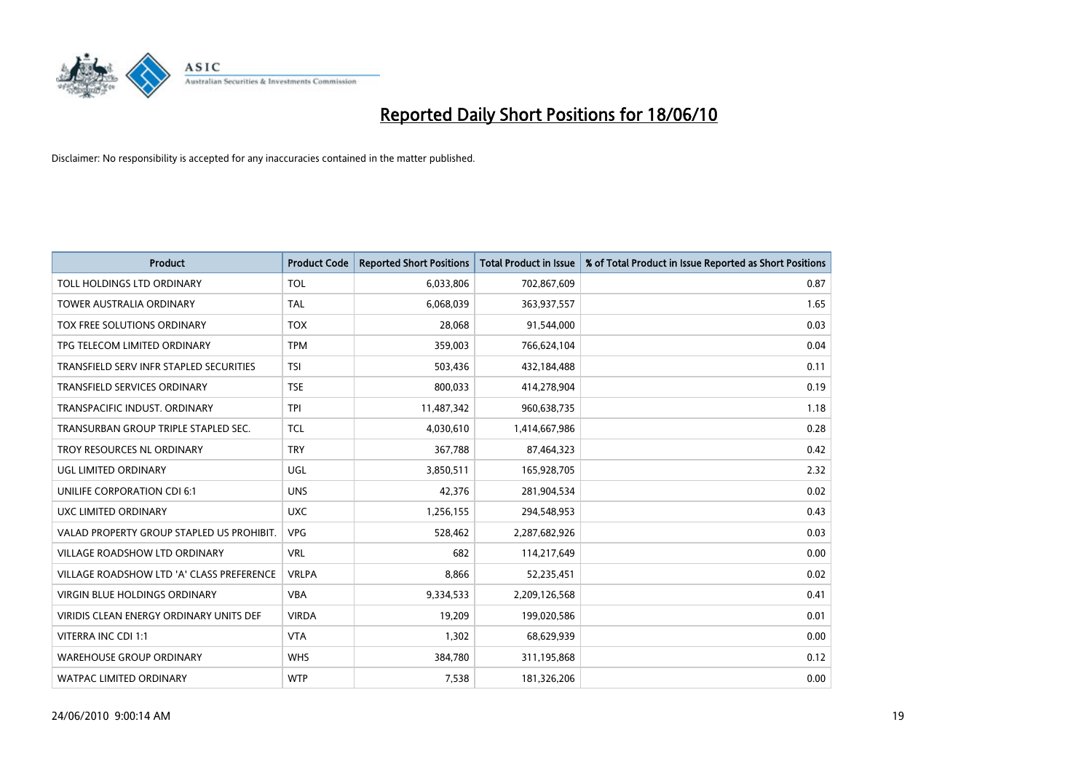

| <b>Product</b>                            | <b>Product Code</b> | <b>Reported Short Positions</b> | Total Product in Issue | % of Total Product in Issue Reported as Short Positions |
|-------------------------------------------|---------------------|---------------------------------|------------------------|---------------------------------------------------------|
| TOLL HOLDINGS LTD ORDINARY                | <b>TOL</b>          | 6,033,806                       | 702,867,609            | 0.87                                                    |
| TOWER AUSTRALIA ORDINARY                  | <b>TAL</b>          | 6,068,039                       | 363,937,557            | 1.65                                                    |
| TOX FREE SOLUTIONS ORDINARY               | <b>TOX</b>          | 28,068                          | 91,544,000             | 0.03                                                    |
| TPG TELECOM LIMITED ORDINARY              | <b>TPM</b>          | 359,003                         | 766,624,104            | 0.04                                                    |
| TRANSFIELD SERV INFR STAPLED SECURITIES   | <b>TSI</b>          | 503,436                         | 432,184,488            | 0.11                                                    |
| <b>TRANSFIELD SERVICES ORDINARY</b>       | <b>TSE</b>          | 800,033                         | 414,278,904            | 0.19                                                    |
| TRANSPACIFIC INDUST, ORDINARY             | <b>TPI</b>          | 11,487,342                      | 960,638,735            | 1.18                                                    |
| TRANSURBAN GROUP TRIPLE STAPLED SEC.      | <b>TCL</b>          | 4,030,610                       | 1,414,667,986          | 0.28                                                    |
| TROY RESOURCES NL ORDINARY                | <b>TRY</b>          | 367,788                         | 87,464,323             | 0.42                                                    |
| UGL LIMITED ORDINARY                      | UGL                 | 3,850,511                       | 165,928,705            | 2.32                                                    |
| UNILIFE CORPORATION CDI 6:1               | <b>UNS</b>          | 42,376                          | 281,904,534            | 0.02                                                    |
| UXC LIMITED ORDINARY                      | <b>UXC</b>          | 1,256,155                       | 294,548,953            | 0.43                                                    |
| VALAD PROPERTY GROUP STAPLED US PROHIBIT. | <b>VPG</b>          | 528,462                         | 2,287,682,926          | 0.03                                                    |
| <b>VILLAGE ROADSHOW LTD ORDINARY</b>      | <b>VRL</b>          | 682                             | 114,217,649            | 0.00                                                    |
| VILLAGE ROADSHOW LTD 'A' CLASS PREFERENCE | <b>VRLPA</b>        | 8,866                           | 52,235,451             | 0.02                                                    |
| <b>VIRGIN BLUE HOLDINGS ORDINARY</b>      | <b>VBA</b>          | 9,334,533                       | 2,209,126,568          | 0.41                                                    |
| VIRIDIS CLEAN ENERGY ORDINARY UNITS DEF   | <b>VIRDA</b>        | 19,209                          | 199,020,586            | 0.01                                                    |
| VITERRA INC CDI 1:1                       | <b>VTA</b>          | 1,302                           | 68,629,939             | 0.00                                                    |
| <b>WAREHOUSE GROUP ORDINARY</b>           | <b>WHS</b>          | 384,780                         | 311,195,868            | 0.12                                                    |
| <b>WATPAC LIMITED ORDINARY</b>            | <b>WTP</b>          | 7,538                           | 181,326,206            | 0.00                                                    |